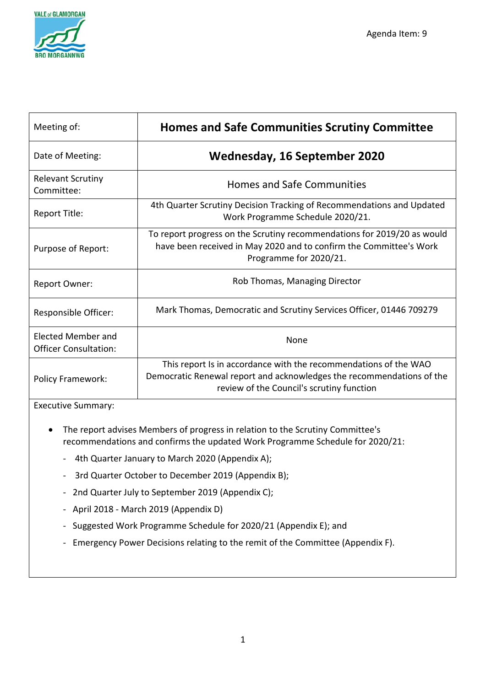

| Meeting of:                                               | <b>Homes and Safe Communities Scrutiny Committee</b>                                                                                                                                   |
|-----------------------------------------------------------|----------------------------------------------------------------------------------------------------------------------------------------------------------------------------------------|
| Date of Meeting:                                          | Wednesday, 16 September 2020                                                                                                                                                           |
| <b>Relevant Scrutiny</b><br>Committee:                    | <b>Homes and Safe Communities</b>                                                                                                                                                      |
| Report Title:                                             | 4th Quarter Scrutiny Decision Tracking of Recommendations and Updated<br>Work Programme Schedule 2020/21.                                                                              |
| Purpose of Report:                                        | To report progress on the Scrutiny recommendations for 2019/20 as would<br>have been received in May 2020 and to confirm the Committee's Work<br>Programme for 2020/21.                |
| <b>Report Owner:</b>                                      | Rob Thomas, Managing Director                                                                                                                                                          |
| Responsible Officer:                                      | Mark Thomas, Democratic and Scrutiny Services Officer, 01446 709279                                                                                                                    |
| <b>Elected Member and</b><br><b>Officer Consultation:</b> | <b>None</b>                                                                                                                                                                            |
| <b>Policy Framework:</b>                                  | This report Is in accordance with the recommendations of the WAO<br>Democratic Renewal report and acknowledges the recommendations of the<br>review of the Council's scrutiny function |

Executive Summary:

- The report advises Members of progress in relation to the Scrutiny Committee's recommendations and confirms the updated Work Programme Schedule for 2020/21:
	- 4th Quarter January to March 2020 (Appendix A);
	- 3rd Quarter October to December 2019 (Appendix B);
	- 2nd Quarter July to September 2019 (Appendix C);
	- April 2018 March 2019 (Appendix D)
	- Suggested Work Programme Schedule for 2020/21 (Appendix E); and
	- Emergency Power Decisions relating to the remit of the Committee (Appendix F).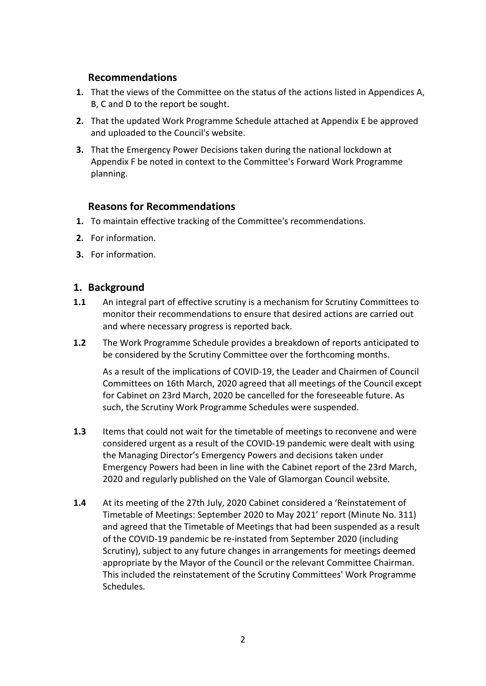### **Recommendations**

- **1.** That the views of the Committee on the status of the actions listed in Appendices A, B, C and D to the report be sought.
- **2.** That the updated Work Programme Schedule attached at Appendix E be approved and uploaded to the Council's website.
- **3.** That the Emergency Power Decisions taken during the national lockdown at Appendix F be noted in context to the Committee's Forward Work Programme planning.

### **Reasons for Recommendations**

- **1.** To maintain effective tracking of the Committee's recommendations.
- **2.** For information.
- **3.** For information.

### **1. Background**

- **1.1** An integral part of effective scrutiny is a mechanism for Scrutiny Committees to monitor their recommendations to ensure that desired actions are carried out and where necessary progress is reported back.
- **1.2** The Work Programme Schedule provides a breakdown of reports anticipated to be considered by the Scrutiny Committee over the forthcoming months.

As a result of the implications of COVID-19, the Leader and Chairmen of Council Committees on 16th March, 2020 agreed that all meetings of the Council except for Cabinet on 23rd March, 2020 be cancelled for the foreseeable future. As such, the Scrutiny Work Programme Schedules were suspended.

- **1.3** Items that could not wait for the timetable of meetings to reconvene and were considered urgent as a result of the COVID-19 pandemic were dealt with using the Managing Director's Emergency Powers and decisions taken under Emergency Powers had been in line with the Cabinet report of the 23rd March, 2020 and regularly published on the Vale of Glamorgan Council website.
- **1.4** At its meeting of the 27th July, 2020 Cabinet considered a 'Reinstatement of Timetable of Meetings: September 2020 to May 2021' report (Minute No. 311) and agreed that the Timetable of Meetings that had been suspended as a result of the COVID-19 pandemic be re-instated from September 2020 (including Scrutiny), subject to any future changes in arrangements for meetings deemed appropriate by the Mayor of the Council or the relevant Committee Chairman. This included the reinstatement of the Scrutiny Committees' Work Programme Schedules.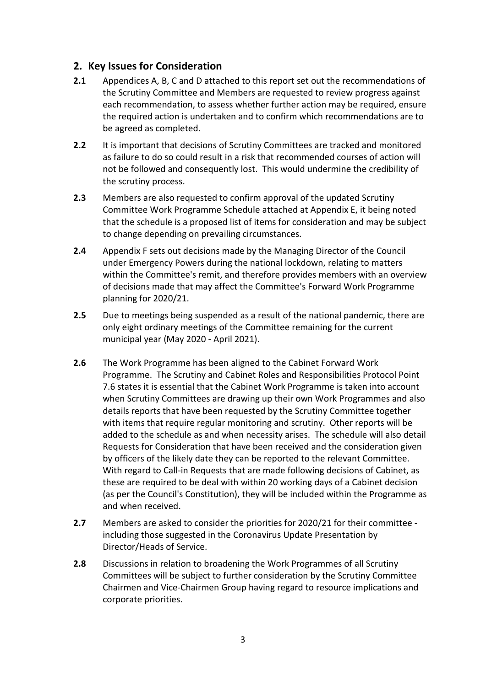### **2. Key Issues for Consideration**

- **2.1** Appendices A, B, C and D attached to this report set out the recommendations of the Scrutiny Committee and Members are requested to review progress against each recommendation, to assess whether further action may be required, ensure the required action is undertaken and to confirm which recommendations are to be agreed as completed.
- **2.2** It is important that decisions of Scrutiny Committees are tracked and monitored as failure to do so could result in a risk that recommended courses of action will not be followed and consequently lost. This would undermine the credibility of the scrutiny process.
- **2.3** Members are also requested to confirm approval of the updated Scrutiny Committee Work Programme Schedule attached at Appendix E, it being noted that the schedule is a proposed list of items for consideration and may be subject to change depending on prevailing circumstances.
- **2.4** Appendix F sets out decisions made by the Managing Director of the Council under Emergency Powers during the national lockdown, relating to matters within the Committee's remit, and therefore provides members with an overview of decisions made that may affect the Committee's Forward Work Programme planning for 2020/21.
- **2.5** Due to meetings being suspended as a result of the national pandemic, there are only eight ordinary meetings of the Committee remaining for the current municipal year (May 2020 - April 2021).
- **2.6** The Work Programme has been aligned to the Cabinet Forward Work Programme. The Scrutiny and Cabinet Roles and Responsibilities Protocol Point 7.6 states it is essential that the Cabinet Work Programme is taken into account when Scrutiny Committees are drawing up their own Work Programmes and also details reports that have been requested by the Scrutiny Committee together with items that require regular monitoring and scrutiny. Other reports will be added to the schedule as and when necessity arises. The schedule will also detail Requests for Consideration that have been received and the consideration given by officers of the likely date they can be reported to the relevant Committee. With regard to Call-in Requests that are made following decisions of Cabinet, as these are required to be deal with within 20 working days of a Cabinet decision (as per the Council's Constitution), they will be included within the Programme as and when received.
- **2.7** Members are asked to consider the priorities for 2020/21 for their committee including those suggested in the Coronavirus Update Presentation by Director/Heads of Service.
- **2.8** Discussions in relation to broadening the Work Programmes of all Scrutiny Committees will be subject to further consideration by the Scrutiny Committee Chairmen and Vice-Chairmen Group having regard to resource implications and corporate priorities.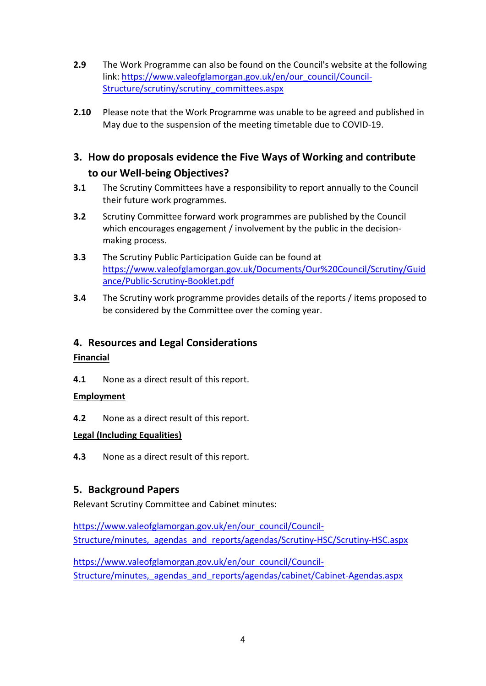- **2.9** The Work Programme can also be found on the Council's website at the following link: [https://www.valeofglamorgan.gov.uk/en/our\\_council/Council-](https://www.valeofglamorgan.gov.uk/en/our_council/Council-Structure/scrutiny/scrutiny_committees.aspx)[Structure/scrutiny/scrutiny\\_committees.aspx](https://www.valeofglamorgan.gov.uk/en/our_council/Council-Structure/scrutiny/scrutiny_committees.aspx)
- **2.10** Please note that the Work Programme was unable to be agreed and published in May due to the suspension of the meeting timetable due to COVID-19.

### **3. How do proposals evidence the Five Ways of Working and contribute to our Well-being Objectives?**

- **3.1** The Scrutiny Committees have a responsibility to report annually to the Council their future work programmes.
- **3.2** Scrutiny Committee forward work programmes are published by the Council which encourages engagement / involvement by the public in the decisionmaking process.
- **3.3** The Scrutiny Public Participation Guide can be found at [https://www.valeofglamorgan.gov.uk/Documents/Our%20Council/Scrutiny/Guid](https://www.valeofglamorgan.gov.uk/Documents/Our%20Council/Scrutiny/Guidance/Public-Scrutiny-Booklet.pdf) [ance/Public-Scrutiny-Booklet.pdf](https://www.valeofglamorgan.gov.uk/Documents/Our%20Council/Scrutiny/Guidance/Public-Scrutiny-Booklet.pdf)
- **3.4** The Scrutiny work programme provides details of the reports / items proposed to be considered by the Committee over the coming year.

### **4. Resources and Legal Considerations**

### **Financial**

**4.1** None as a direct result of this report.

### **Employment**

**4.2** None as a direct result of this report.

### **Legal (Including Equalities)**

**4.3** None as a direct result of this report.

### **5. Background Papers**

Relevant Scrutiny Committee and Cabinet minutes:

[https://www.valeofglamorgan.gov.uk/en/our\\_council/Council-](https://www.valeofglamorgan.gov.uk/en/our_council/Council-Structure/minutes,_agendas_and_reports/agendas/Scrutiny-HSC/Scrutiny-HSC.aspx)[Structure/minutes,\\_agendas\\_and\\_reports/agendas/Scrutiny-HSC/Scrutiny-HSC.aspx](https://www.valeofglamorgan.gov.uk/en/our_council/Council-Structure/minutes,_agendas_and_reports/agendas/Scrutiny-HSC/Scrutiny-HSC.aspx)

[https://www.valeofglamorgan.gov.uk/en/our\\_council/Council-](https://www.valeofglamorgan.gov.uk/en/our_council/Council-Structure/minutes,_agendas_and_reports/agendas/cabinet/Cabinet-Agendas.aspx)Structure/minutes, agendas and reports/agendas/cabinet/Cabinet-Agendas.aspx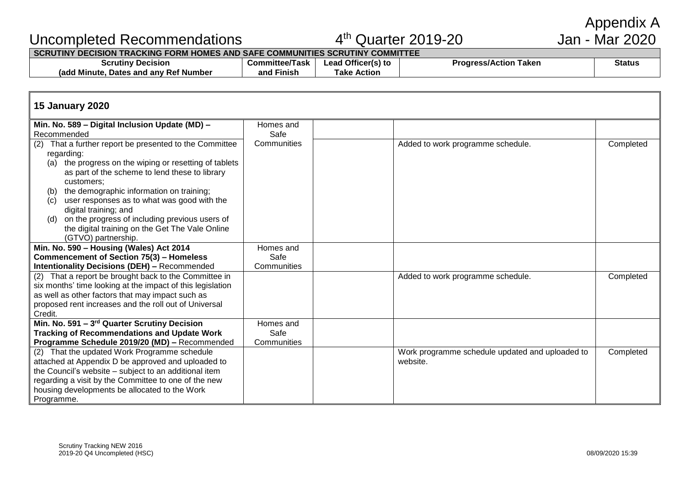### Uncompleted Recommendations 4

# $4<sup>th</sup>$  Quarter 2019-20



#### **SCRUTINY DECISION TRACKING FORM HOMES AND SAFE COMMUNITIES SCRUTINY COMMITTEE**

| Decision<br>scrutiny                                   | Committee/Task     | ' Officer(s) to<br>.ead | Taken<br>rogress/Action | <b>Status</b> |
|--------------------------------------------------------|--------------------|-------------------------|-------------------------|---------------|
| <b>Ref Number</b><br>. Dates and anv ⊡<br>(add Minute) | .<br>Finish<br>and | <b>Action</b><br>`ake   |                         |               |

#### **15 January 2020 Min. No. 589 – Digital Inclusion Update (MD) –** Recommended Homes and Safe<br>Communities  $(2)$  That a further report be presented to the Committee regarding: (a) the progress on the wiping or resetting of tablets as part of the scheme to lend these to library customers; (b) the demographic information on training; (c) user responses as to what was good with the digital training; and (d) on the progress of including previous users of the digital training on the Get The Vale Online (GTVO) partnership. Added to work programme schedule. **Min. No. 590 – Housing (Wales) Act 2014 Commencement of Section 75(3) – Homeless Intentionality Decisions (DEH) –** Recommended Homes and Safe **Communities** (2) That a report be brought back to the Committee in six months' time looking at the impact of this legislation as well as other factors that may impact such as proposed rent increases and the roll out of Universal Credit. Added to work programme schedule. Completed **Min. No. 591 – 3 rd Quarter Scrutiny Decision Tracking of Recommendations and Update Work Programme Schedule 2019/20 (MD) –** Recommended Homes and Safe **Communities** (2) That the updated Work Programme schedule attached at Appendix D be approved and uploaded to the Council's website – subject to an additional item regarding a visit by the Committee to one of the new housing developments be allocated to the Work Programme. Work programme schedule updated and uploaded to website. **Completed**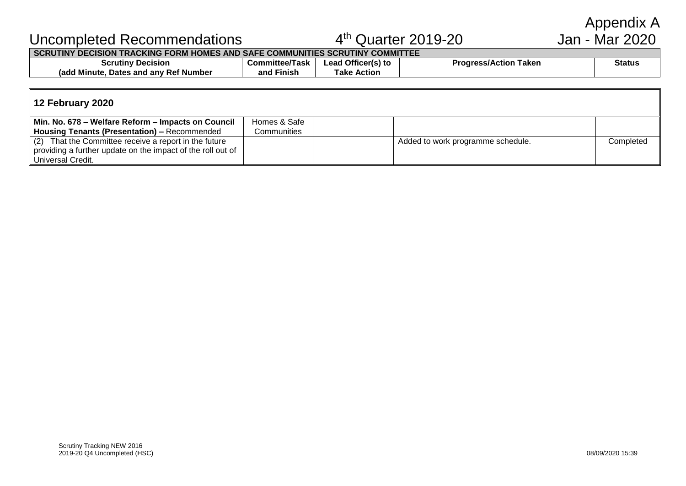# Uncompleted Recommendations 4

# $4<sup>th</sup>$  Quarter 2019-20

# Appendix A<br>Jan - Mar 2020

**SCRUTINY DECISION TRACKING FORM HOMES AND SAFE COMMUNITIES SCRUTINY COMMITTEE**

| Scrutiny<br>Decision                                   | <b>Committee/</b><br>Task | Officer(s) to<br>-eac | <b>Progress/A</b><br>Taken<br>ress/Action | <b>Status</b> |
|--------------------------------------------------------|---------------------------|-----------------------|-------------------------------------------|---------------|
| <b>s</b> and any Ref Number<br>Minute<br>Dates<br>rado | .<br>and<br>Finish        | Action<br>Take        |                                           |               |
|                                                        |                           |                       |                                           |               |

### **12 February 2020**

| Min. No. 678 – Welfare Reform – Impacts on Council          | Homes & Safe |                                   |           |
|-------------------------------------------------------------|--------------|-----------------------------------|-----------|
| Housing Tenants (Presentation) - Recommended                | Communities  |                                   |           |
| (2) That the Committee receive a report in the future       |              | Added to work programme schedule. | Completed |
| providing a further update on the impact of the roll out of |              |                                   |           |
| Universal Credit.                                           |              |                                   |           |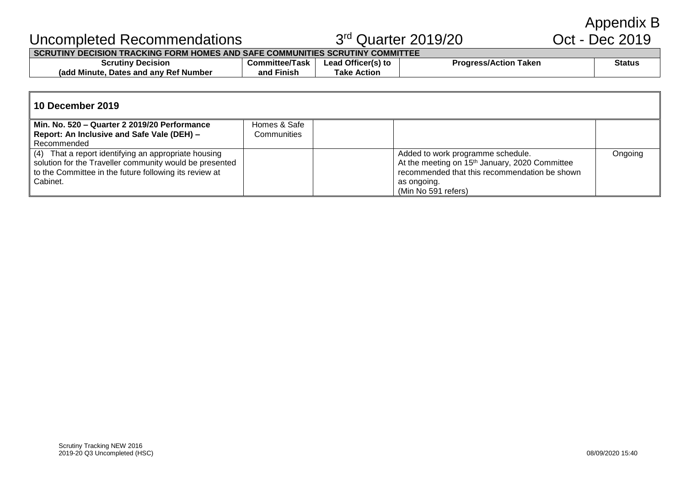Appendix B<br>Oct - Dec 2019

# Uncompleted Recommendations 33

# 3rd Quarter 2019/20

**SCRUTINY DECISION TRACKING FORM HOMES AND SAFE COMMUNITIES SCRUTINY COMMITTEE**

| Scrutiny<br><b>Decision</b>                                      | Committee<br>nttee/Task | Officer(s) to<br>_ead | Taken<br>ess/Action <sup>.</sup><br><b>Progress</b> | <b>Status</b> |
|------------------------------------------------------------------|-------------------------|-----------------------|-----------------------------------------------------|---------------|
| ,add M<br>⁄ Ref Number<br>* Minute.<br><b>: and anv</b><br>Dates | . .<br>Finish<br>and    | Action<br>Гаke        |                                                     |               |

| l 10 December 2019                                      |              |  |                                                            |         |  |  |
|---------------------------------------------------------|--------------|--|------------------------------------------------------------|---------|--|--|
| Min. No. 520 - Quarter 2 2019/20 Performance            | Homes & Safe |  |                                                            |         |  |  |
| Report: An Inclusive and Safe Vale (DEH) -              | Communities  |  |                                                            |         |  |  |
| Recommended                                             |              |  |                                                            |         |  |  |
| (4) That a report identifying an appropriate housing    |              |  | Added to work programme schedule.                          | Ongoing |  |  |
| solution for the Traveller community would be presented |              |  | At the meeting on 15 <sup>th</sup> January, 2020 Committee |         |  |  |
| to the Committee in the future following its review at  |              |  | recommended that this recommendation be shown              |         |  |  |
| Cabinet.                                                |              |  | as ongoing.                                                |         |  |  |
|                                                         |              |  | (Min No 591 refers)                                        |         |  |  |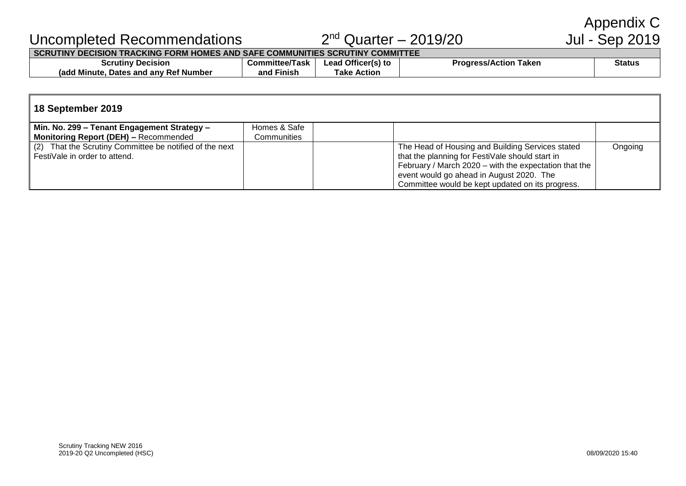Appendix C<br>Jul - Sep 2019

# Uncompleted Recommendations 2

# $2<sup>nd</sup>$  Quarter - 2019/20

### **SCRUTINY DECISION TRACKING FORM HOMES AND SAFE COMMUNITIES SCRUTINY COMMITTEE**

| Scrutiny<br><b>Decision</b>                     | Committee/Task       | $ -$<br>Lead Officer(s) to | Taken<br><b>Progress/Action</b> | <b>Status</b> |
|-------------------------------------------------|----------------------|----------------------------|---------------------------------|---------------|
| - Ref Number<br>Minute<br>ladc<br>Dates and any | and<br><b>Finish</b> | Action<br>⊺ake             |                                 |               |

#### **18 September 2019 Min. No. 299 – Tenant Engagement Strategy – Monitoring Report (DEH) –** Recommended Homes & Safe **Communities** (2) That the Scrutiny Committee be notified of the next FestiVale in order to attend. The Head of Housing and Building Services stated that the planning for FestiVale should start in February / March 2020 – with the expectation that the event would go ahead in August 2020. The Committee would be kept updated on its progress. Ongoing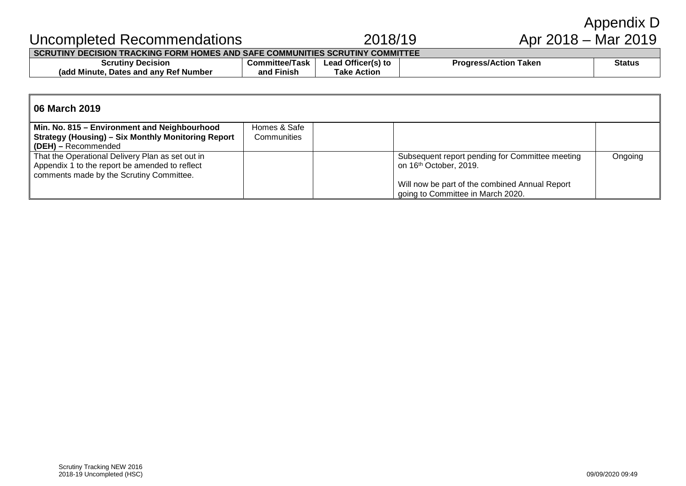|                                                                               |             |                     | Appendix D |
|-------------------------------------------------------------------------------|-------------|---------------------|------------|
| Uncompleted Recommendations                                                   | 2018/19     | Apr 2018 – Mar 2019 |            |
| SCRUTINY DECISION TRACKING FORM HOMES AND SAFE COMMUNITIES SCRUTINY COMMITTEE |             |                     |            |
|                                                                               | .<br>$\sim$ | .                   | __         |

| <b>scrutiny</b><br><b>Jecision</b><br>טכ                                  | .ommittee/T<br>-225<br>Task | $\sim$ $\sim$ $\sim$<br>Ufficer <sup>res</sup><br>Lead<br>481 I.C | aken<br>∍ction | <b>Status</b> |
|---------------------------------------------------------------------------|-----------------------------|-------------------------------------------------------------------|----------------|---------------|
| .<br>`Number<br>⊀ Minute.<br>and<br>-Rei<br>. anv<br><b>Dates</b><br>radd | Finisi.<br>and              | Action<br>Take                                                    |                |               |

| 06 March 2019                                             |              |                                                 |         |
|-----------------------------------------------------------|--------------|-------------------------------------------------|---------|
| Min. No. 815 - Environment and Neighbourhood              | Homes & Safe |                                                 |         |
| <b>Strategy (Housing) - Six Monthly Monitoring Report</b> | Communities  |                                                 |         |
| (DEH) - Recommended                                       |              |                                                 |         |
| That the Operational Delivery Plan as set out in          |              | Subsequent report pending for Committee meeting | Ongoing |
| Appendix 1 to the report be amended to reflect            |              | on 16th October, 2019.                          |         |
| comments made by the Scrutiny Committee.                  |              |                                                 |         |
|                                                           |              | Will now be part of the combined Annual Report  |         |
|                                                           |              | going to Committee in March 2020.               |         |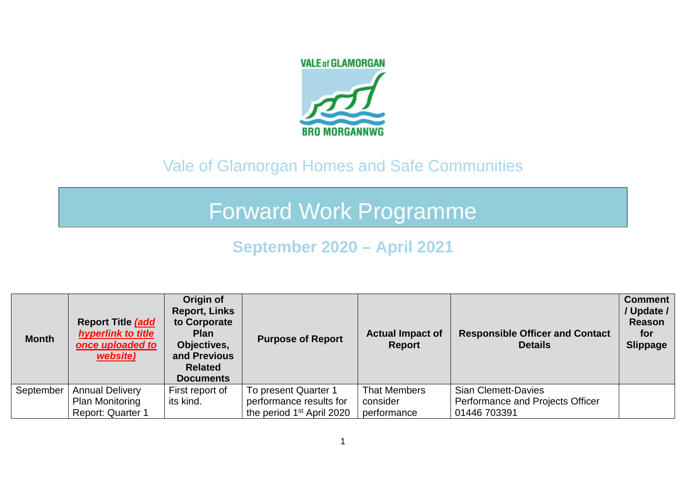# **VALE of GLAMORGAN BRO MORGANNWG**

# Vale of Glamorgan Homes and Safe Communities

# Forward Work Programme

# **September 2020 – April 2021**

| <b>Month</b> | <b>Report Title (add)</b><br><b>hyperlink to title</b><br>once uploaded to<br>website) | Origin of<br><b>Report, Links</b><br>to Corporate<br><b>Plan</b><br>Objectives,<br>and Previous<br><b>Related</b><br><b>Documents</b> | <b>Purpose of Report</b>              | <b>Actual Impact of</b><br>Report | <b>Responsible Officer and Contact</b><br><b>Details</b> | <b>Comment</b><br>/ Update /<br>Reason<br>for<br><b>Slippage</b> |
|--------------|----------------------------------------------------------------------------------------|---------------------------------------------------------------------------------------------------------------------------------------|---------------------------------------|-----------------------------------|----------------------------------------------------------|------------------------------------------------------------------|
| September    | <b>Annual Delivery</b>                                                                 | First report of                                                                                                                       | To present Quarter 1                  | That Members                      | <b>Sian Clemett-Davies</b>                               |                                                                  |
|              | <b>Plan Monitoring</b>                                                                 | its kind.                                                                                                                             | performance results for               | consider                          | Performance and Projects Officer                         |                                                                  |
|              | <b>Report: Quarter 1</b>                                                               |                                                                                                                                       | the period 1 <sup>st</sup> April 2020 | performance                       | 01446 703391                                             |                                                                  |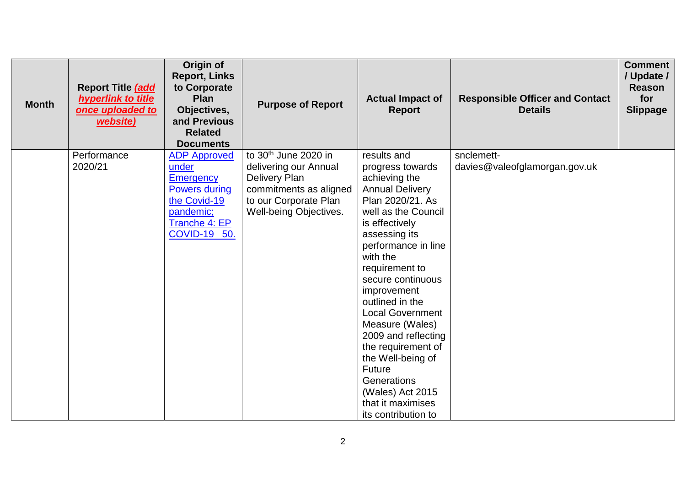| <b>Month</b> | Report Title (add<br>hyperlink to title<br>once uploaded to<br>website) | Origin of<br><b>Report, Links</b><br>to Corporate<br>Plan<br>Objectives,<br>and Previous<br><b>Related</b><br><b>Documents</b>                | <b>Purpose of Report</b>                                                                                                                                | <b>Actual Impact of</b><br><b>Report</b>                                                                                                                                                                                                                                                                                                                                                                                                                                      | <b>Responsible Officer and Contact</b><br><b>Details</b> | <b>Comment</b><br>/ Update /<br><b>Reason</b><br>for<br><b>Slippage</b> |
|--------------|-------------------------------------------------------------------------|-----------------------------------------------------------------------------------------------------------------------------------------------|---------------------------------------------------------------------------------------------------------------------------------------------------------|-------------------------------------------------------------------------------------------------------------------------------------------------------------------------------------------------------------------------------------------------------------------------------------------------------------------------------------------------------------------------------------------------------------------------------------------------------------------------------|----------------------------------------------------------|-------------------------------------------------------------------------|
|              | Performance<br>2020/21                                                  | <b>ADP Approved</b><br>under<br><b>Emergency</b><br><b>Powers during</b><br>the Covid-19<br>pandemic;<br>Tranche 4: EP<br><b>COVID-19 50.</b> | to 30 <sup>th</sup> June 2020 in<br>delivering our Annual<br>Delivery Plan<br>commitments as aligned<br>to our Corporate Plan<br>Well-being Objectives. | results and<br>progress towards<br>achieving the<br><b>Annual Delivery</b><br>Plan 2020/21. As<br>well as the Council<br>is effectively<br>assessing its<br>performance in line<br>with the<br>requirement to<br>secure continuous<br>improvement<br>outlined in the<br><b>Local Government</b><br>Measure (Wales)<br>2009 and reflecting<br>the requirement of<br>the Well-being of<br>Future<br>Generations<br>(Wales) Act 2015<br>that it maximises<br>its contribution to | snclemett-<br>davies@valeofglamorgan.gov.uk              |                                                                         |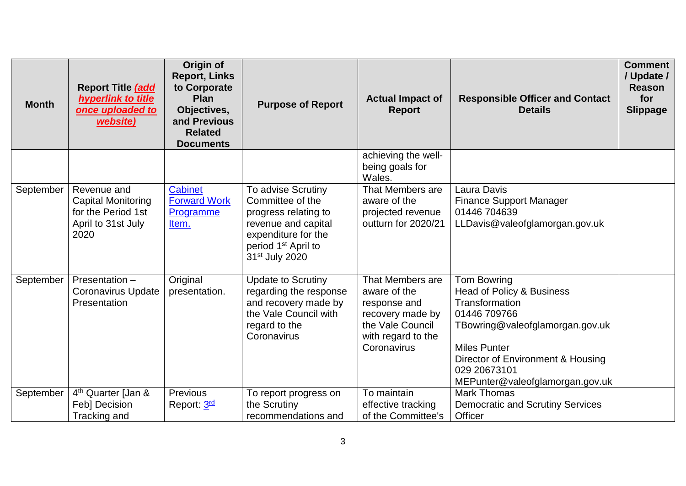| <b>Month</b> | Report Title (add<br>hyperlink to title<br>once uploaded to<br>website)                      | Origin of<br><b>Report, Links</b><br>to Corporate<br>Plan<br>Objectives,<br>and Previous<br><b>Related</b><br><b>Documents</b> | <b>Purpose of Report</b>                                                                                                                                                      | <b>Actual Impact of</b><br><b>Report</b>                                                                                      | <b>Responsible Officer and Contact</b><br><b>Details</b>                                                                                                                                                                                | <b>Comment</b><br>/ Update /<br><b>Reason</b><br>for<br><b>Slippage</b> |
|--------------|----------------------------------------------------------------------------------------------|--------------------------------------------------------------------------------------------------------------------------------|-------------------------------------------------------------------------------------------------------------------------------------------------------------------------------|-------------------------------------------------------------------------------------------------------------------------------|-----------------------------------------------------------------------------------------------------------------------------------------------------------------------------------------------------------------------------------------|-------------------------------------------------------------------------|
|              |                                                                                              |                                                                                                                                |                                                                                                                                                                               | achieving the well-<br>being goals for<br>Wales.                                                                              |                                                                                                                                                                                                                                         |                                                                         |
| September    | Revenue and<br><b>Capital Monitoring</b><br>for the Period 1st<br>April to 31st July<br>2020 | <b>Cabinet</b><br><b>Forward Work</b><br>Programme<br>Item.                                                                    | To advise Scrutiny<br>Committee of the<br>progress relating to<br>revenue and capital<br>expenditure for the<br>period 1 <sup>st</sup> April to<br>31 <sup>st</sup> July 2020 | That Members are<br>aware of the<br>projected revenue<br>outturn for 2020/21                                                  | Laura Davis<br><b>Finance Support Manager</b><br>01446 704639<br>LLDavis@valeofglamorgan.gov.uk                                                                                                                                         |                                                                         |
| September    | Presentation -<br><b>Coronavirus Update</b><br>Presentation                                  | Original<br>presentation.                                                                                                      | <b>Update to Scrutiny</b><br>regarding the response<br>and recovery made by<br>the Vale Council with<br>regard to the<br>Coronavirus                                          | That Members are<br>aware of the<br>response and<br>recovery made by<br>the Vale Council<br>with regard to the<br>Coronavirus | Tom Bowring<br><b>Head of Policy &amp; Business</b><br>Transformation<br>01446 709766<br>TBowring@valeofglamorgan.gov.uk<br><b>Miles Punter</b><br>Director of Environment & Housing<br>029 20673101<br>MEPunter@valeofglamorgan.gov.uk |                                                                         |
| September    | 4 <sup>th</sup> Quarter [Jan &<br>Feb] Decision<br>Tracking and                              | Previous<br>Report: 3rd                                                                                                        | To report progress on<br>the Scrutiny<br>recommendations and                                                                                                                  | To maintain<br>effective tracking<br>of the Committee's                                                                       | <b>Mark Thomas</b><br><b>Democratic and Scrutiny Services</b><br>Officer                                                                                                                                                                |                                                                         |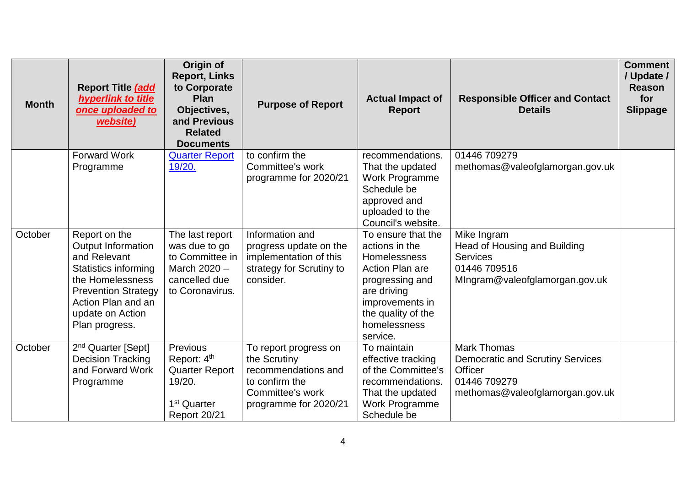| <b>Month</b> | Report Title (add<br>hyperlink to title<br>once uploaded to<br>website)                                                                                                                                 | Origin of<br><b>Report, Links</b><br>to Corporate<br>Plan<br>Objectives,<br>and Previous<br><b>Related</b><br><b>Documents</b>  | <b>Purpose of Report</b>                                                                                                    | <b>Actual Impact of</b><br><b>Report</b>                                                                                                                                       | <b>Responsible Officer and Contact</b><br><b>Details</b>                                                                    | <b>Comment</b><br>/ Update /<br><b>Reason</b><br>for<br><b>Slippage</b> |
|--------------|---------------------------------------------------------------------------------------------------------------------------------------------------------------------------------------------------------|---------------------------------------------------------------------------------------------------------------------------------|-----------------------------------------------------------------------------------------------------------------------------|--------------------------------------------------------------------------------------------------------------------------------------------------------------------------------|-----------------------------------------------------------------------------------------------------------------------------|-------------------------------------------------------------------------|
|              | <b>Forward Work</b><br>Programme                                                                                                                                                                        | <b>Quarter Report</b><br>19/20.                                                                                                 | to confirm the<br>Committee's work<br>programme for 2020/21                                                                 | recommendations.<br>That the updated<br>Work Programme<br>Schedule be<br>approved and<br>uploaded to the<br>Council's website.                                                 | 01446 709279<br>methomas@valeofglamorgan.gov.uk                                                                             |                                                                         |
| October      | Report on the<br><b>Output Information</b><br>and Relevant<br><b>Statistics informing</b><br>the Homelessness<br><b>Prevention Strategy</b><br>Action Plan and an<br>update on Action<br>Plan progress. | The last report<br>was due to go<br>to Committee in<br>March 2020 -<br>cancelled due<br>to Coronavirus.                         | Information and<br>progress update on the<br>implementation of this<br>strategy for Scrutiny to<br>consider.                | To ensure that the<br>actions in the<br>Homelessness<br>Action Plan are<br>progressing and<br>are driving<br>improvements in<br>the quality of the<br>homelessness<br>service. | Mike Ingram<br>Head of Housing and Building<br><b>Services</b><br>01446 709516<br>Mingram@valeofglamorgan.gov.uk            |                                                                         |
| October      | 2 <sup>nd</sup> Quarter [Sept]<br><b>Decision Tracking</b><br>and Forward Work<br>Programme                                                                                                             | <b>Previous</b><br>Report: 4 <sup>th</sup><br><b>Quarter Report</b><br>19/20.<br>1 <sup>st</sup> Quarter<br><b>Report 20/21</b> | To report progress on<br>the Scrutiny<br>recommendations and<br>to confirm the<br>Committee's work<br>programme for 2020/21 | To maintain<br>effective tracking<br>of the Committee's<br>recommendations.<br>That the updated<br>Work Programme<br>Schedule be                                               | <b>Mark Thomas</b><br><b>Democratic and Scrutiny Services</b><br>Officer<br>01446 709279<br>methomas@valeofglamorgan.gov.uk |                                                                         |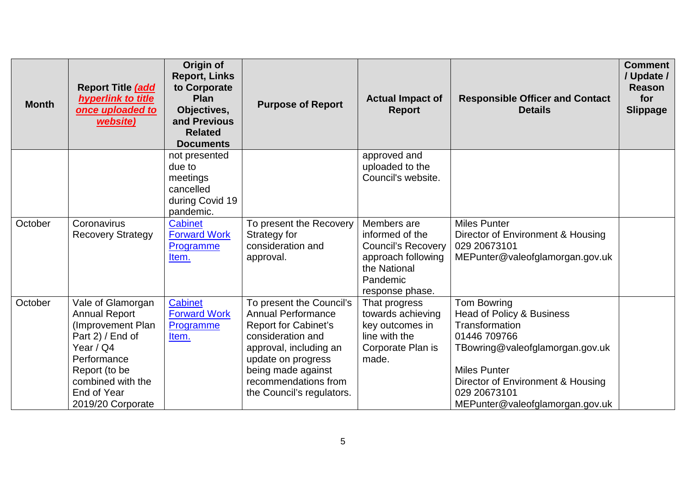| <b>Month</b> | Report Title (add<br>hyperlink to title<br>once uploaded to<br>website)                                                                                                                  | Origin of<br><b>Report, Links</b><br>to Corporate<br><b>Plan</b><br>Objectives,<br>and Previous<br><b>Related</b><br><b>Documents</b> | <b>Purpose of Report</b>                                                                                                                                                                                                             | <b>Actual Impact of</b><br><b>Report</b>                                                                                         | <b>Responsible Officer and Contact</b><br><b>Details</b>                                                                                                                                                                     | <b>Comment</b><br>/ Update /<br><b>Reason</b><br>for<br><b>Slippage</b> |
|--------------|------------------------------------------------------------------------------------------------------------------------------------------------------------------------------------------|---------------------------------------------------------------------------------------------------------------------------------------|--------------------------------------------------------------------------------------------------------------------------------------------------------------------------------------------------------------------------------------|----------------------------------------------------------------------------------------------------------------------------------|------------------------------------------------------------------------------------------------------------------------------------------------------------------------------------------------------------------------------|-------------------------------------------------------------------------|
|              |                                                                                                                                                                                          | not presented<br>due to<br>meetings<br>cancelled<br>during Covid 19<br>pandemic.                                                      |                                                                                                                                                                                                                                      | approved and<br>uploaded to the<br>Council's website.                                                                            |                                                                                                                                                                                                                              |                                                                         |
| October      | Coronavirus<br><b>Recovery Strategy</b>                                                                                                                                                  | <b>Cabinet</b><br><b>Forward Work</b><br>Programme<br>Item.                                                                           | To present the Recovery<br>Strategy for<br>consideration and<br>approval.                                                                                                                                                            | Members are<br>informed of the<br><b>Council's Recovery</b><br>approach following<br>the National<br>Pandemic<br>response phase. | <b>Miles Punter</b><br>Director of Environment & Housing<br>029 20673101<br>MEPunter@valeofglamorgan.gov.uk                                                                                                                  |                                                                         |
| October      | Vale of Glamorgan<br><b>Annual Report</b><br>(Improvement Plan<br>Part 2) / End of<br>Year / Q4<br>Performance<br>Report (to be<br>combined with the<br>End of Year<br>2019/20 Corporate | <b>Cabinet</b><br><b>Forward Work</b><br>Programme<br>Item.                                                                           | To present the Council's<br><b>Annual Performance</b><br><b>Report for Cabinet's</b><br>consideration and<br>approval, including an<br>update on progress<br>being made against<br>recommendations from<br>the Council's regulators. | That progress<br>towards achieving<br>key outcomes in<br>line with the<br>Corporate Plan is<br>made.                             | Tom Bowring<br>Head of Policy & Business<br>Transformation<br>01446 709766<br>TBowring@valeofglamorgan.gov.uk<br><b>Miles Punter</b><br>Director of Environment & Housing<br>029 20673101<br>MEPunter@valeofglamorgan.gov.uk |                                                                         |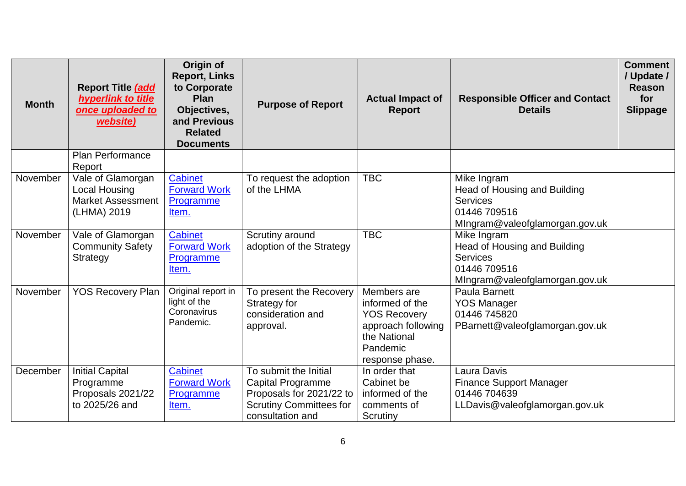| <b>Month</b> | Report Title (add<br>hyperlink to title<br>once uploaded to<br>website)              | Origin of<br><b>Report, Links</b><br>to Corporate<br>Plan<br>Objectives,<br>and Previous<br><b>Related</b><br><b>Documents</b> | <b>Purpose of Report</b>                                                                                                            | <b>Actual Impact of</b><br><b>Report</b>                                                                                   | <b>Responsible Officer and Contact</b><br><b>Details</b>                                                         | <b>Comment</b><br>/ Update /<br><b>Reason</b><br>for<br><b>Slippage</b> |
|--------------|--------------------------------------------------------------------------------------|--------------------------------------------------------------------------------------------------------------------------------|-------------------------------------------------------------------------------------------------------------------------------------|----------------------------------------------------------------------------------------------------------------------------|------------------------------------------------------------------------------------------------------------------|-------------------------------------------------------------------------|
|              | <b>Plan Performance</b><br>Report                                                    |                                                                                                                                |                                                                                                                                     |                                                                                                                            |                                                                                                                  |                                                                         |
| November     | Vale of Glamorgan<br><b>Local Housing</b><br><b>Market Assessment</b><br>(LHMA) 2019 | <b>Cabinet</b><br><b>Forward Work</b><br>Programme<br>Item.                                                                    | To request the adoption<br>of the LHMA                                                                                              | <b>TBC</b>                                                                                                                 | Mike Ingram<br>Head of Housing and Building<br><b>Services</b><br>01446 709516<br>MIngram@valeofglamorgan.gov.uk |                                                                         |
| November     | Vale of Glamorgan<br><b>Community Safety</b><br><b>Strategy</b>                      | Cabinet<br><b>Forward Work</b><br>Programme<br>Item.                                                                           | Scrutiny around<br>adoption of the Strategy                                                                                         | <b>TBC</b>                                                                                                                 | Mike Ingram<br>Head of Housing and Building<br><b>Services</b><br>01446 709516<br>MIngram@valeofglamorgan.gov.uk |                                                                         |
| November     | <b>YOS Recovery Plan</b>                                                             | Original report in<br>light of the<br>Coronavirus<br>Pandemic.                                                                 | To present the Recovery<br>Strategy for<br>consideration and<br>approval.                                                           | Members are<br>informed of the<br><b>YOS Recovery</b><br>approach following<br>the National<br>Pandemic<br>response phase. | Paula Barnett<br><b>YOS Manager</b><br>01446 745820<br>PBarnett@valeofglamorgan.gov.uk                           |                                                                         |
| December     | <b>Initial Capital</b><br>Programme<br>Proposals 2021/22<br>to 2025/26 and           | <b>Cabinet</b><br><b>Forward Work</b><br>Programme<br>Item.                                                                    | To submit the Initial<br><b>Capital Programme</b><br>Proposals for 2021/22 to<br><b>Scrutiny Committees for</b><br>consultation and | In order that<br>Cabinet be<br>informed of the<br>comments of<br>Scrutiny                                                  | Laura Davis<br><b>Finance Support Manager</b><br>01446 704639<br>LLDavis@valeofglamorgan.gov.uk                  |                                                                         |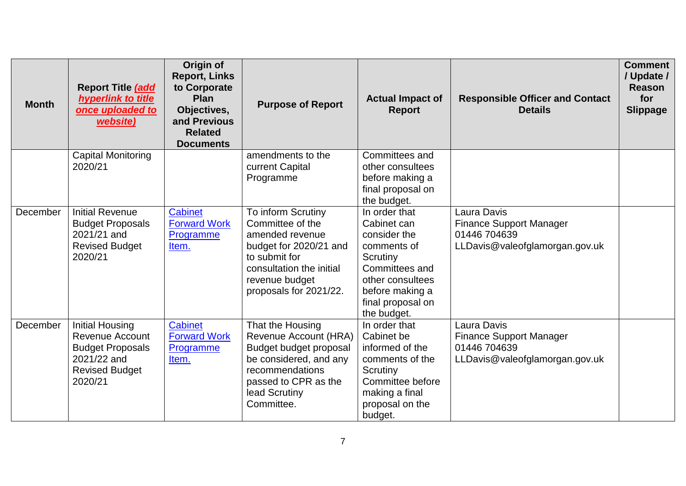| <b>Month</b> | Report Title (add<br>hyperlink to title<br>once uploaded to<br>website)                                                        | Origin of<br><b>Report, Links</b><br>to Corporate<br><b>Plan</b><br>Objectives,<br>and Previous<br><b>Related</b><br><b>Documents</b> | <b>Purpose of Report</b>                                                                                                                                                     | <b>Actual Impact of</b><br><b>Report</b>                                                                                                                             | <b>Responsible Officer and Contact</b><br><b>Details</b>                                        | <b>Comment</b><br>/ Update /<br><b>Reason</b><br>for<br><b>Slippage</b> |
|--------------|--------------------------------------------------------------------------------------------------------------------------------|---------------------------------------------------------------------------------------------------------------------------------------|------------------------------------------------------------------------------------------------------------------------------------------------------------------------------|----------------------------------------------------------------------------------------------------------------------------------------------------------------------|-------------------------------------------------------------------------------------------------|-------------------------------------------------------------------------|
|              | Capital Monitoring<br>2020/21                                                                                                  |                                                                                                                                       | amendments to the<br>current Capital<br>Programme                                                                                                                            | Committees and<br>other consultees<br>before making a<br>final proposal on<br>the budget.                                                                            |                                                                                                 |                                                                         |
| December     | <b>Initial Revenue</b><br><b>Budget Proposals</b><br>2021/21 and<br><b>Revised Budget</b><br>2020/21                           | <b>Cabinet</b><br><b>Forward Work</b><br>Programme<br>Item.                                                                           | To inform Scrutiny<br>Committee of the<br>amended revenue<br>budget for 2020/21 and<br>to submit for<br>consultation the initial<br>revenue budget<br>proposals for 2021/22. | In order that<br>Cabinet can<br>consider the<br>comments of<br>Scrutiny<br>Committees and<br>other consultees<br>before making a<br>final proposal on<br>the budget. | Laura Davis<br><b>Finance Support Manager</b><br>01446 704639<br>LLDavis@valeofglamorgan.gov.uk |                                                                         |
| December     | <b>Initial Housing</b><br><b>Revenue Account</b><br><b>Budget Proposals</b><br>2021/22 and<br><b>Revised Budget</b><br>2020/21 | Cabinet<br><b>Forward Work</b><br>Programme<br>Item.                                                                                  | That the Housing<br>Revenue Account (HRA)<br>Budget budget proposal<br>be considered, and any<br>recommendations<br>passed to CPR as the<br>lead Scrutiny<br>Committee.      | In order that<br>Cabinet be<br>informed of the<br>comments of the<br>Scrutiny<br>Committee before<br>making a final<br>proposal on the<br>budget.                    | Laura Davis<br><b>Finance Support Manager</b><br>01446 704639<br>LLDavis@valeofglamorgan.gov.uk |                                                                         |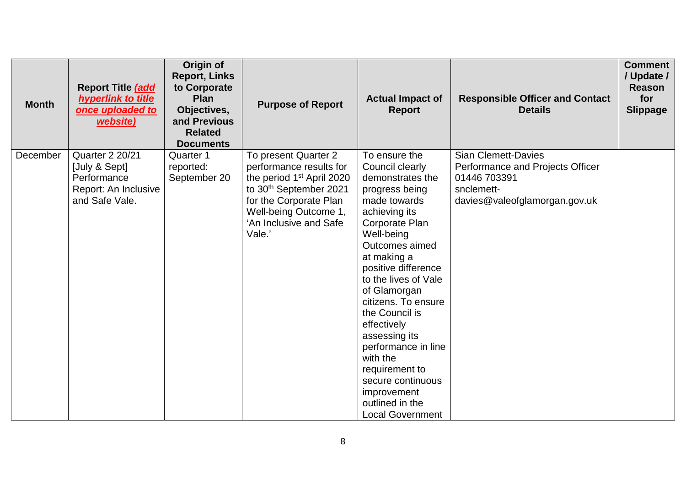| <b>Month</b> | Report Title (add<br>hyperlink to title<br>once uploaded to<br>website)                          | Origin of<br><b>Report, Links</b><br>to Corporate<br><b>Plan</b><br>Objectives,<br>and Previous<br><b>Related</b><br><b>Documents</b> | <b>Purpose of Report</b>                                                                                                                                                                                              | <b>Actual Impact of</b><br><b>Report</b>                                                                                                                                                                                                                                                                                                                                                                                                                | <b>Responsible Officer and Contact</b><br><b>Details</b>                                                                      | <b>Comment</b><br>/ Update /<br>Reason<br>for<br><b>Slippage</b> |
|--------------|--------------------------------------------------------------------------------------------------|---------------------------------------------------------------------------------------------------------------------------------------|-----------------------------------------------------------------------------------------------------------------------------------------------------------------------------------------------------------------------|---------------------------------------------------------------------------------------------------------------------------------------------------------------------------------------------------------------------------------------------------------------------------------------------------------------------------------------------------------------------------------------------------------------------------------------------------------|-------------------------------------------------------------------------------------------------------------------------------|------------------------------------------------------------------|
| December     | <b>Quarter 2 20/21</b><br>[July & Sept]<br>Performance<br>Report: An Inclusive<br>and Safe Vale. | <b>Quarter 1</b><br>reported:<br>September 20                                                                                         | To present Quarter 2<br>performance results for<br>the period 1 <sup>st</sup> April 2020<br>to 30 <sup>th</sup> September 2021<br>for the Corporate Plan<br>Well-being Outcome 1,<br>'An Inclusive and Safe<br>Vale.' | To ensure the<br>Council clearly<br>demonstrates the<br>progress being<br>made towards<br>achieving its<br>Corporate Plan<br>Well-being<br>Outcomes aimed<br>at making a<br>positive difference<br>to the lives of Vale<br>of Glamorgan<br>citizens. To ensure<br>the Council is<br>effectively<br>assessing its<br>performance in line<br>with the<br>requirement to<br>secure continuous<br>improvement<br>outlined in the<br><b>Local Government</b> | <b>Sian Clemett-Davies</b><br>Performance and Projects Officer<br>01446 703391<br>snclemett-<br>davies@valeofglamorgan.gov.uk |                                                                  |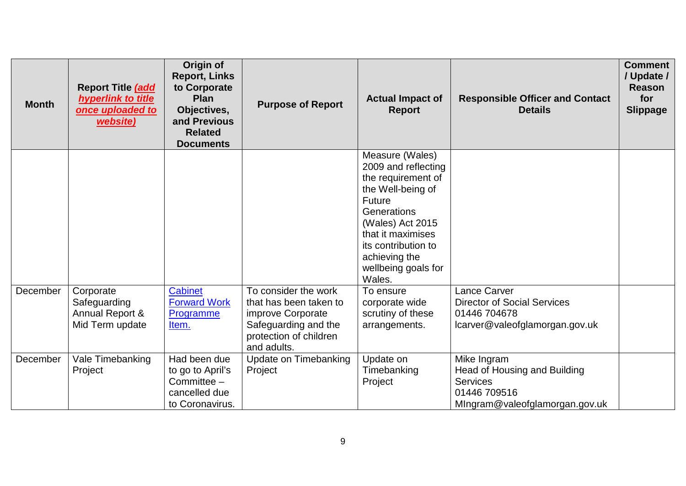| <b>Month</b> | Report Title (add<br>hyperlink to title<br>once uploaded to<br>website) | Origin of<br><b>Report, Links</b><br>to Corporate<br>Plan<br>Objectives,<br>and Previous<br><b>Related</b><br><b>Documents</b> | <b>Purpose of Report</b>                                                                                                             | <b>Actual Impact of</b><br><b>Report</b>                                                                                                                                                                                     | <b>Responsible Officer and Contact</b><br><b>Details</b>                                                         | <b>Comment</b><br>/ Update /<br><b>Reason</b><br>for<br><b>Slippage</b> |
|--------------|-------------------------------------------------------------------------|--------------------------------------------------------------------------------------------------------------------------------|--------------------------------------------------------------------------------------------------------------------------------------|------------------------------------------------------------------------------------------------------------------------------------------------------------------------------------------------------------------------------|------------------------------------------------------------------------------------------------------------------|-------------------------------------------------------------------------|
|              |                                                                         |                                                                                                                                |                                                                                                                                      | Measure (Wales)<br>2009 and reflecting<br>the requirement of<br>the Well-being of<br>Future<br>Generations<br>(Wales) Act 2015<br>that it maximises<br>its contribution to<br>achieving the<br>wellbeing goals for<br>Wales. |                                                                                                                  |                                                                         |
| December     | Corporate<br>Safeguarding<br>Annual Report &<br>Mid Term update         | <b>Cabinet</b><br><b>Forward Work</b><br>Programme<br>Item.                                                                    | To consider the work<br>that has been taken to<br>improve Corporate<br>Safeguarding and the<br>protection of children<br>and adults. | To ensure<br>corporate wide<br>scrutiny of these<br>arrangements.                                                                                                                                                            | Lance Carver<br><b>Director of Social Services</b><br>01446 704678<br>lcarver@valeofglamorgan.gov.uk             |                                                                         |
| December     | Vale Timebanking<br>Project                                             | Had been due<br>to go to April's<br>Committee -<br>cancelled due<br>to Coronavirus.                                            | Update on Timebanking<br>Project                                                                                                     | Update on<br>Timebanking<br>Project                                                                                                                                                                                          | Mike Ingram<br>Head of Housing and Building<br><b>Services</b><br>01446 709516<br>Mingram@valeofglamorgan.gov.uk |                                                                         |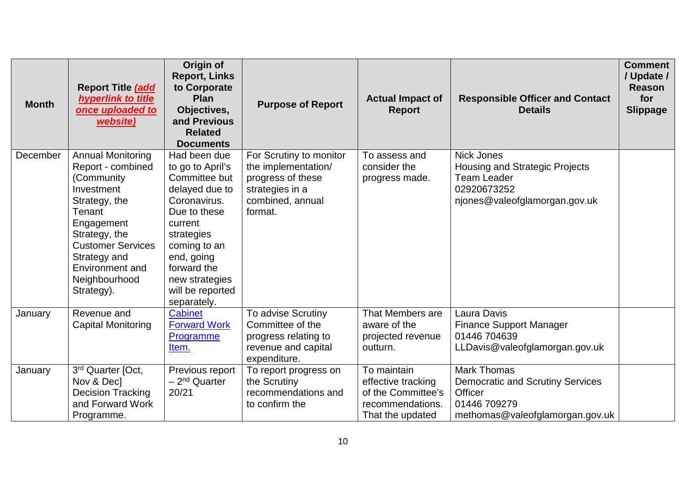| <b>Month</b> | Report Title (add<br>hyperlink to title<br>once uploaded to<br>website)                                                                                                                                                            | Origin of<br><b>Report, Links</b><br>to Corporate<br>Plan<br>Objectives,<br>and Previous<br><b>Related</b><br><b>Documents</b>                                                                                                 | <b>Purpose of Report</b>                                                                                              | <b>Actual Impact of</b><br><b>Report</b>                                                        | <b>Responsible Officer and Contact</b><br><b>Details</b>                                                                    | <b>Comment</b><br>/ Update /<br><b>Reason</b><br>for<br><b>Slippage</b> |
|--------------|------------------------------------------------------------------------------------------------------------------------------------------------------------------------------------------------------------------------------------|--------------------------------------------------------------------------------------------------------------------------------------------------------------------------------------------------------------------------------|-----------------------------------------------------------------------------------------------------------------------|-------------------------------------------------------------------------------------------------|-----------------------------------------------------------------------------------------------------------------------------|-------------------------------------------------------------------------|
| December     | <b>Annual Monitoring</b><br>Report - combined<br>(Community)<br>Investment<br>Strategy, the<br>Tenant<br>Engagement<br>Strategy, the<br><b>Customer Services</b><br>Strategy and<br>Environment and<br>Neighbourhood<br>Strategy). | Had been due<br>to go to April's<br>Committee but<br>delayed due to<br>Coronavirus.<br>Due to these<br>current<br>strategies<br>coming to an<br>end, going<br>forward the<br>new strategies<br>will be reported<br>separately. | For Scrutiny to monitor<br>the implementation/<br>progress of these<br>strategies in a<br>combined, annual<br>format. | To assess and<br>consider the<br>progress made.                                                 | <b>Nick Jones</b><br>Housing and Strategic Projects<br><b>Team Leader</b><br>02920673252<br>njones@valeofglamorgan.gov.uk   |                                                                         |
| January      | Revenue and<br><b>Capital Monitoring</b>                                                                                                                                                                                           | <b>Cabinet</b><br><b>Forward Work</b><br>Programme<br>Item.                                                                                                                                                                    | To advise Scrutiny<br>Committee of the<br>progress relating to<br>revenue and capital<br>expenditure.                 | That Members are<br>aware of the<br>projected revenue<br>outturn.                               | Laura Davis<br><b>Finance Support Manager</b><br>01446 704639<br>LLDavis@valeofglamorgan.gov.uk                             |                                                                         |
| January      | 3rd Quarter [Oct,<br>Nov & Decl<br><b>Decision Tracking</b><br>and Forward Work<br>Programme.                                                                                                                                      | Previous report<br>- 2 <sup>nd</sup> Quarter<br>20/21                                                                                                                                                                          | To report progress on<br>the Scrutiny<br>recommendations and<br>to confirm the                                        | To maintain<br>effective tracking<br>of the Committee's<br>recommendations.<br>That the updated | <b>Mark Thomas</b><br><b>Democratic and Scrutiny Services</b><br>Officer<br>01446 709279<br>methomas@valeofglamorgan.gov.uk |                                                                         |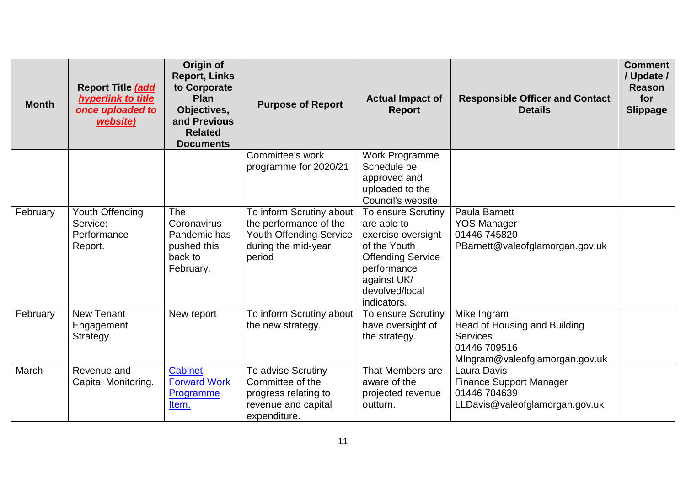| <b>Month</b> | Report Title (add<br>hyperlink to title<br>once uploaded to<br>website) | Origin of<br><b>Report, Links</b><br>to Corporate<br>Plan<br>Objectives,<br>and Previous<br><b>Related</b><br><b>Documents</b> | <b>Purpose of Report</b>                                                                                              | <b>Actual Impact of</b><br><b>Report</b>                                                                                                                           | <b>Responsible Officer and Contact</b><br><b>Details</b>                                                         | <b>Comment</b><br>/ Update /<br><b>Reason</b><br>for<br><b>Slippage</b> |
|--------------|-------------------------------------------------------------------------|--------------------------------------------------------------------------------------------------------------------------------|-----------------------------------------------------------------------------------------------------------------------|--------------------------------------------------------------------------------------------------------------------------------------------------------------------|------------------------------------------------------------------------------------------------------------------|-------------------------------------------------------------------------|
|              |                                                                         |                                                                                                                                | Committee's work<br>programme for 2020/21                                                                             | Work Programme<br>Schedule be<br>approved and<br>uploaded to the<br>Council's website.                                                                             |                                                                                                                  |                                                                         |
| February     | Youth Offending<br>Service:<br>Performance<br>Report.                   | The<br>Coronavirus<br>Pandemic has<br>pushed this<br>back to<br>February.                                                      | To inform Scrutiny about<br>the performance of the<br><b>Youth Offending Service</b><br>during the mid-year<br>period | To ensure Scrutiny<br>are able to<br>exercise oversight<br>of the Youth<br><b>Offending Service</b><br>performance<br>against UK/<br>devolved/local<br>indicators. | Paula Barnett<br><b>YOS Manager</b><br>01446 745820<br>PBarnett@valeofglamorgan.gov.uk                           |                                                                         |
| February     | <b>New Tenant</b><br>Engagement<br>Strategy.                            | New report                                                                                                                     | To inform Scrutiny about<br>the new strategy.                                                                         | To ensure Scrutiny<br>have oversight of<br>the strategy.                                                                                                           | Mike Ingram<br>Head of Housing and Building<br><b>Services</b><br>01446 709516<br>MIngram@valeofglamorgan.gov.uk |                                                                         |
| March        | Revenue and<br>Capital Monitoring.                                      | <b>Cabinet</b><br><b>Forward Work</b><br>Programme<br>Item.                                                                    | To advise Scrutiny<br>Committee of the<br>progress relating to<br>revenue and capital<br>expenditure.                 | That Members are<br>aware of the<br>projected revenue<br>outturn.                                                                                                  | Laura Davis<br><b>Finance Support Manager</b><br>01446 704639<br>LLDavis@valeofglamorgan.gov.uk                  |                                                                         |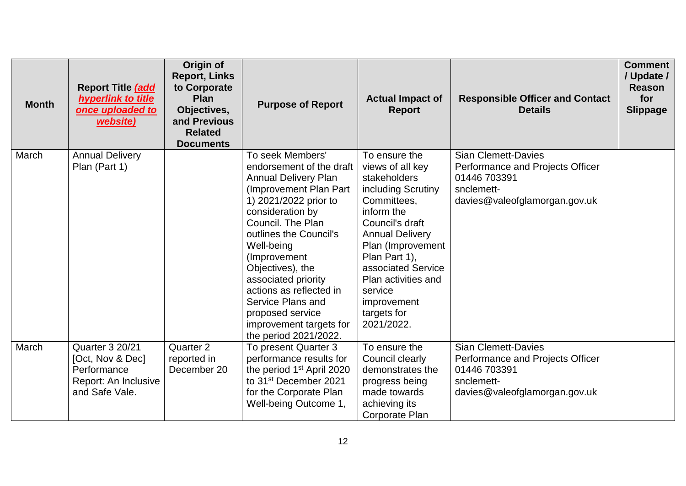| <b>Month</b> | Report Title (add<br>hyperlink to title<br>once uploaded to<br>website)                             | Origin of<br><b>Report, Links</b><br>to Corporate<br>Plan<br>Objectives,<br>and Previous<br><b>Related</b><br><b>Documents</b> | <b>Purpose of Report</b>                                                                                                                                                                                                                                                                                                                                                                             | <b>Actual Impact of</b><br><b>Report</b>                                                                                                                                                                                                                                                    | <b>Responsible Officer and Contact</b><br><b>Details</b>                                                                      | <b>Comment</b><br>/ Update /<br><b>Reason</b><br>for<br><b>Slippage</b> |
|--------------|-----------------------------------------------------------------------------------------------------|--------------------------------------------------------------------------------------------------------------------------------|------------------------------------------------------------------------------------------------------------------------------------------------------------------------------------------------------------------------------------------------------------------------------------------------------------------------------------------------------------------------------------------------------|---------------------------------------------------------------------------------------------------------------------------------------------------------------------------------------------------------------------------------------------------------------------------------------------|-------------------------------------------------------------------------------------------------------------------------------|-------------------------------------------------------------------------|
| March        | <b>Annual Delivery</b><br>Plan (Part 1)                                                             |                                                                                                                                | To seek Members'<br>endorsement of the draft<br><b>Annual Delivery Plan</b><br>(Improvement Plan Part)<br>1) 2021/2022 prior to<br>consideration by<br>Council. The Plan<br>outlines the Council's<br>Well-being<br>(Improvement)<br>Objectives), the<br>associated priority<br>actions as reflected in<br>Service Plans and<br>proposed service<br>improvement targets for<br>the period 2021/2022. | To ensure the<br>views of all key<br>stakeholders<br>including Scrutiny<br>Committees,<br>inform the<br>Council's draft<br><b>Annual Delivery</b><br>Plan (Improvement<br>Plan Part 1),<br>associated Service<br>Plan activities and<br>service<br>improvement<br>targets for<br>2021/2022. | <b>Sian Clemett-Davies</b><br>Performance and Projects Officer<br>01446 703391<br>snclemett-<br>davies@valeofglamorgan.gov.uk |                                                                         |
| March        | <b>Quarter 3 20/21</b><br>[Oct, Nov & Dec]<br>Performance<br>Report: An Inclusive<br>and Safe Vale. | Quarter 2<br>reported in<br>December 20                                                                                        | To present Quarter 3<br>performance results for<br>the period 1 <sup>st</sup> April 2020<br>to 31 <sup>st</sup> December 2021<br>for the Corporate Plan<br>Well-being Outcome 1,                                                                                                                                                                                                                     | To ensure the<br>Council clearly<br>demonstrates the<br>progress being<br>made towards<br>achieving its<br><b>Corporate Plan</b>                                                                                                                                                            | <b>Sian Clemett-Davies</b><br>Performance and Projects Officer<br>01446 703391<br>snclemett-<br>davies@valeofglamorgan.gov.uk |                                                                         |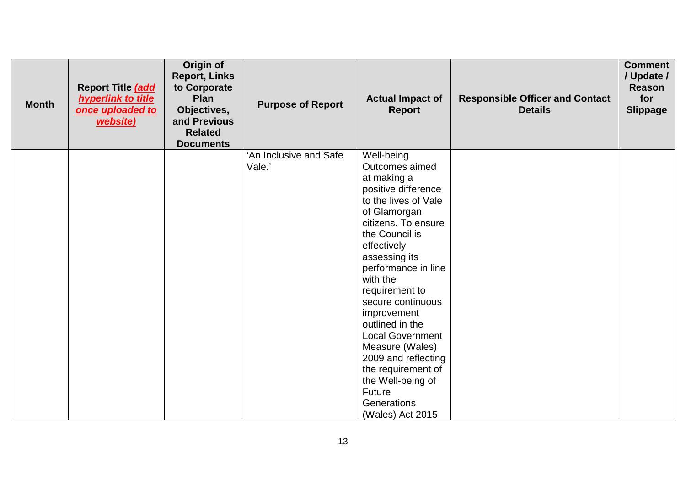| <b>Month</b> | Report Title (add<br>hyperlink to title<br>once uploaded to<br>website) | Origin of<br><b>Report, Links</b><br>to Corporate<br>Plan<br>Objectives,<br>and Previous<br><b>Related</b><br><b>Documents</b> | <b>Purpose of Report</b> | <b>Actual Impact of</b><br><b>Report</b>                                                                                                                                                                                                                                          | <b>Responsible Officer and Contact</b><br><b>Details</b> | <b>Comment</b><br>/ Update /<br><b>Reason</b><br>for<br><b>Slippage</b> |
|--------------|-------------------------------------------------------------------------|--------------------------------------------------------------------------------------------------------------------------------|--------------------------|-----------------------------------------------------------------------------------------------------------------------------------------------------------------------------------------------------------------------------------------------------------------------------------|----------------------------------------------------------|-------------------------------------------------------------------------|
|              |                                                                         |                                                                                                                                | Vale.'                   | Outcomes aimed<br>at making a<br>positive difference<br>to the lives of Vale<br>of Glamorgan<br>citizens. To ensure<br>the Council is<br>effectively<br>assessing its<br>performance in line<br>with the<br>requirement to<br>secure continuous<br>improvement<br>outlined in the |                                                          |                                                                         |
|              |                                                                         |                                                                                                                                |                          | <b>Local Government</b><br>Measure (Wales)<br>2009 and reflecting<br>the requirement of<br>the Well-being of<br>Future<br>Generations<br>(Wales) Act 2015                                                                                                                         |                                                          |                                                                         |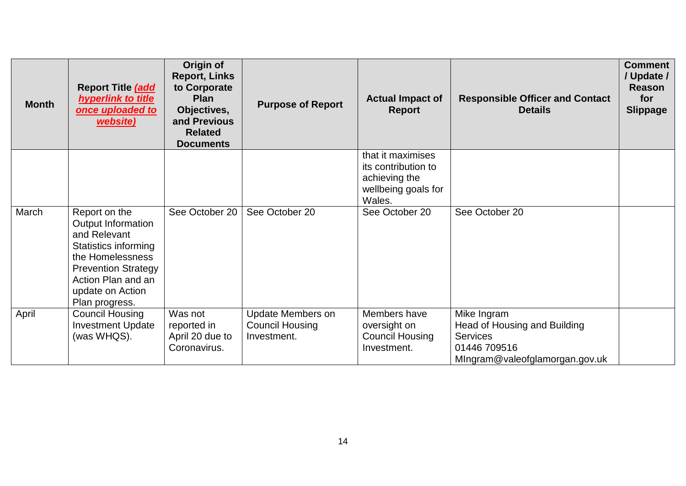| <b>Month</b> | Report Title (add<br>hyperlink to title<br>once uploaded to<br>website)                                                                                                                   | Origin of<br><b>Report, Links</b><br>to Corporate<br><b>Plan</b><br>Objectives,<br>and Previous<br><b>Related</b><br><b>Documents</b> | <b>Purpose of Report</b>                                          | <b>Actual Impact of</b><br><b>Report</b>                                                   | <b>Responsible Officer and Contact</b><br><b>Details</b>                                                         | <b>Comment</b><br>/ Update /<br><b>Reason</b><br>for<br><b>Slippage</b> |
|--------------|-------------------------------------------------------------------------------------------------------------------------------------------------------------------------------------------|---------------------------------------------------------------------------------------------------------------------------------------|-------------------------------------------------------------------|--------------------------------------------------------------------------------------------|------------------------------------------------------------------------------------------------------------------|-------------------------------------------------------------------------|
|              |                                                                                                                                                                                           |                                                                                                                                       |                                                                   | that it maximises<br>its contribution to<br>achieving the<br>wellbeing goals for<br>Wales. |                                                                                                                  |                                                                         |
| March        | Report on the<br>Output Information<br>and Relevant<br>Statistics informing<br>the Homelessness<br><b>Prevention Strategy</b><br>Action Plan and an<br>update on Action<br>Plan progress. | See October 20                                                                                                                        | See October 20                                                    | See October 20                                                                             | See October 20                                                                                                   |                                                                         |
| April        | <b>Council Housing</b><br><b>Investment Update</b><br>(was WHQS).                                                                                                                         | Was not<br>reported in<br>April 20 due to<br>Coronavirus.                                                                             | <b>Update Members on</b><br><b>Council Housing</b><br>Investment. | Members have<br>oversight on<br><b>Council Housing</b><br>Investment.                      | Mike Ingram<br>Head of Housing and Building<br><b>Services</b><br>01446 709516<br>MIngram@valeofglamorgan.gov.uk |                                                                         |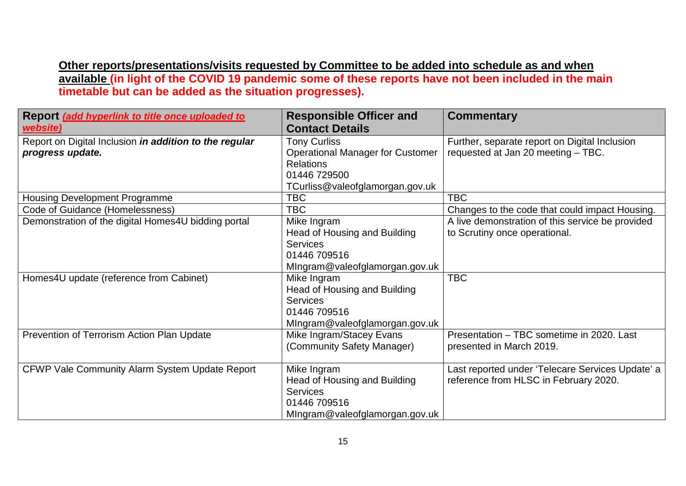**Other reports/presentations/visits requested by Committee to be added into schedule as and when available (in light of the COVID 19 pandemic some of these reports have not been included in the main timetable but can be added as the situation progresses).**

| Report (add hyperlink to title once uploaded to        | <b>Responsible Officer and</b>          | <b>Commentary</b>                                |
|--------------------------------------------------------|-----------------------------------------|--------------------------------------------------|
| website)                                               | <b>Contact Details</b>                  |                                                  |
| Report on Digital Inclusion in addition to the regular | <b>Tony Curliss</b>                     | Further, separate report on Digital Inclusion    |
| progress update.                                       | <b>Operational Manager for Customer</b> | requested at Jan 20 meeting - TBC.               |
|                                                        | <b>Relations</b>                        |                                                  |
|                                                        | 01446 729500                            |                                                  |
|                                                        | TCurliss@valeofglamorgan.gov.uk         |                                                  |
| <b>Housing Development Programme</b>                   | <b>TBC</b>                              | <b>TBC</b>                                       |
| Code of Guidance (Homelessness)                        | <b>TBC</b>                              | Changes to the code that could impact Housing.   |
| Demonstration of the digital Homes4U bidding portal    | Mike Ingram                             | A live demonstration of this service be provided |
|                                                        | Head of Housing and Building            | to Scrutiny once operational.                    |
|                                                        | <b>Services</b>                         |                                                  |
|                                                        | 01446 709516                            |                                                  |
|                                                        | Mingram@valeofglamorgan.gov.uk          |                                                  |
| Homes4U update (reference from Cabinet)                | Mike Ingram                             | <b>TBC</b>                                       |
|                                                        | Head of Housing and Building            |                                                  |
|                                                        | <b>Services</b>                         |                                                  |
|                                                        | 01446 709516                            |                                                  |
|                                                        | MIngram@valeofglamorgan.gov.uk          |                                                  |
| Prevention of Terrorism Action Plan Update             | Mike Ingram/Stacey Evans                | Presentation - TBC sometime in 2020. Last        |
|                                                        | (Community Safety Manager)              | presented in March 2019.                         |
|                                                        |                                         |                                                  |
| CFWP Vale Community Alarm System Update Report         | Mike Ingram                             | Last reported under 'Telecare Services Update' a |
|                                                        | Head of Housing and Building            | reference from HLSC in February 2020.            |
|                                                        | <b>Services</b>                         |                                                  |
|                                                        | 01446 709516                            |                                                  |
|                                                        | Mingram@valeofglamorgan.gov.uk          |                                                  |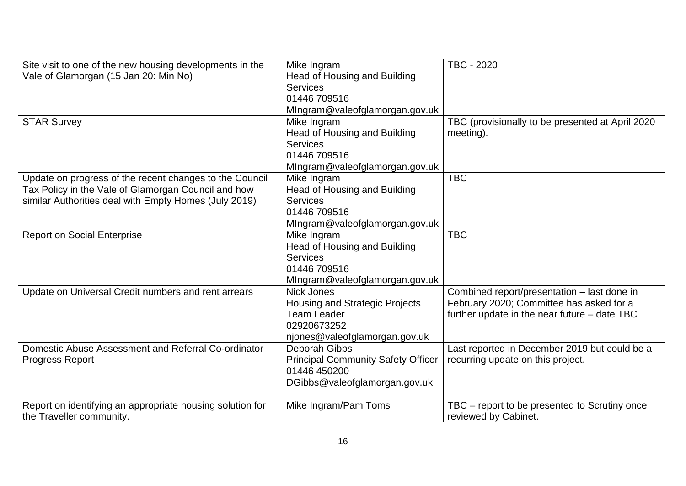| Site visit to one of the new housing developments in the<br>Vale of Glamorgan (15 Jan 20: Min No)<br><b>STAR Survey</b>                                                 | Mike Ingram<br>Head of Housing and Building<br><b>Services</b><br>01446 709516<br>MIngram@valeofglamorgan.gov.uk<br>Mike Ingram  | TBC - 2020<br>TBC (provisionally to be presented at April 2020                                                                          |
|-------------------------------------------------------------------------------------------------------------------------------------------------------------------------|----------------------------------------------------------------------------------------------------------------------------------|-----------------------------------------------------------------------------------------------------------------------------------------|
|                                                                                                                                                                         | Head of Housing and Building<br><b>Services</b><br>01446 709516<br>MIngram@valeofglamorgan.gov.uk                                | meeting).                                                                                                                               |
| Update on progress of the recent changes to the Council<br>Tax Policy in the Vale of Glamorgan Council and how<br>similar Authorities deal with Empty Homes (July 2019) | Mike Ingram<br>Head of Housing and Building<br><b>Services</b><br>01446 709516<br>Mingram@valeofglamorgan.gov.uk                 | <b>TBC</b>                                                                                                                              |
| <b>Report on Social Enterprise</b>                                                                                                                                      | Mike Ingram<br>Head of Housing and Building<br><b>Services</b><br>01446 709516<br>Mingram@valeofglamorgan.gov.uk                 | <b>TBC</b>                                                                                                                              |
| Update on Universal Credit numbers and rent arrears                                                                                                                     | <b>Nick Jones</b><br><b>Housing and Strategic Projects</b><br><b>Team Leader</b><br>02920673252<br>njones@valeofglamorgan.gov.uk | Combined report/presentation - last done in<br>February 2020; Committee has asked for a<br>further update in the near future - date TBC |
| Domestic Abuse Assessment and Referral Co-ordinator<br><b>Progress Report</b>                                                                                           | Deborah Gibbs<br><b>Principal Community Safety Officer</b><br>01446 450200<br>DGibbs@valeofglamorgan.gov.uk                      | Last reported in December 2019 but could be a<br>recurring update on this project.                                                      |
| Report on identifying an appropriate housing solution for<br>the Traveller community.                                                                                   | Mike Ingram/Pam Toms                                                                                                             | TBC – report to be presented to Scrutiny once<br>reviewed by Cabinet.                                                                   |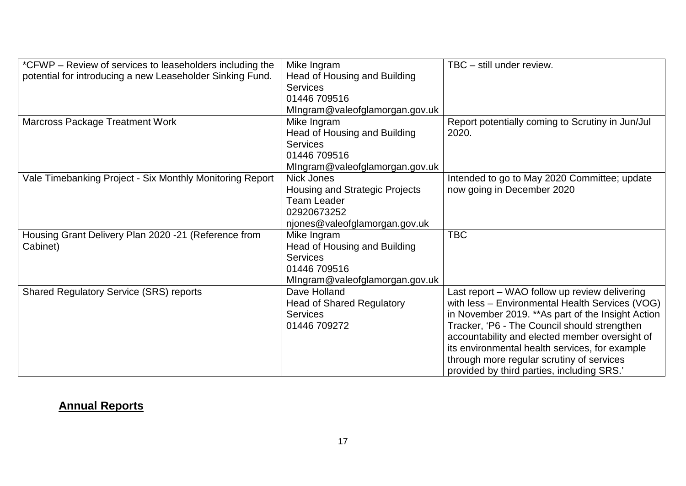| *CFWP – Review of services to leaseholders including the  | Mike Ingram                      | TBC - still under review.                          |
|-----------------------------------------------------------|----------------------------------|----------------------------------------------------|
| potential for introducing a new Leaseholder Sinking Fund. | Head of Housing and Building     |                                                    |
|                                                           | <b>Services</b>                  |                                                    |
|                                                           | 01446 709516                     |                                                    |
|                                                           | Mingram@valeofglamorgan.gov.uk   |                                                    |
| <b>Marcross Package Treatment Work</b>                    | Mike Ingram                      | Report potentially coming to Scrutiny in Jun/Jul   |
|                                                           | Head of Housing and Building     | 2020.                                              |
|                                                           | <b>Services</b>                  |                                                    |
|                                                           | 01446 709516                     |                                                    |
|                                                           | MIngram@valeofglamorgan.gov.uk   |                                                    |
| Vale Timebanking Project - Six Monthly Monitoring Report  | Nick Jones                       | Intended to go to May 2020 Committee; update       |
|                                                           | Housing and Strategic Projects   | now going in December 2020                         |
|                                                           | <b>Team Leader</b>               |                                                    |
|                                                           | 02920673252                      |                                                    |
|                                                           | njones@valeofglamorgan.gov.uk    |                                                    |
| Housing Grant Delivery Plan 2020 -21 (Reference from      | Mike Ingram                      | <b>TBC</b>                                         |
| Cabinet)                                                  | Head of Housing and Building     |                                                    |
|                                                           | <b>Services</b>                  |                                                    |
|                                                           | 01446 709516                     |                                                    |
|                                                           | Mingram@valeofglamorgan.gov.uk   |                                                    |
| <b>Shared Regulatory Service (SRS) reports</b>            | Dave Holland                     | Last report – WAO follow up review delivering      |
|                                                           | <b>Head of Shared Regulatory</b> | with less - Environmental Health Services (VOG)    |
|                                                           | <b>Services</b>                  | in November 2019. ** As part of the Insight Action |
|                                                           | 01446 709272                     | Tracker, 'P6 - The Council should strengthen       |
|                                                           |                                  | accountability and elected member oversight of     |
|                                                           |                                  | its environmental health services, for example     |
|                                                           |                                  | through more regular scrutiny of services          |
|                                                           |                                  | provided by third parties, including SRS.'         |

## **Annual Reports**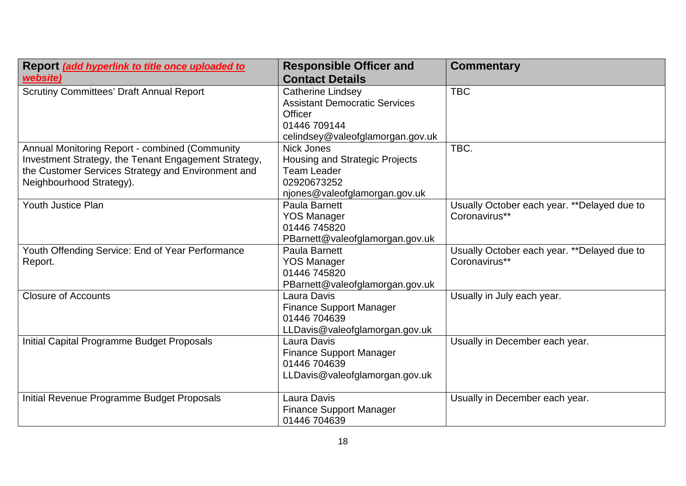| Report (add hyperlink to title once uploaded to<br>website) | <b>Responsible Officer and</b><br><b>Contact Details</b> | <b>Commentary</b>                            |
|-------------------------------------------------------------|----------------------------------------------------------|----------------------------------------------|
| <b>Scrutiny Committees' Draft Annual Report</b>             | <b>Catherine Lindsey</b>                                 | <b>TBC</b>                                   |
|                                                             | <b>Assistant Democratic Services</b>                     |                                              |
|                                                             | Officer                                                  |                                              |
|                                                             | 01446 709144                                             |                                              |
|                                                             | celindsey@valeofglamorgan.gov.uk                         |                                              |
| Annual Monitoring Report - combined (Community              | <b>Nick Jones</b>                                        | TBC.                                         |
| Investment Strategy, the Tenant Engagement Strategy,        | Housing and Strategic Projects                           |                                              |
| the Customer Services Strategy and Environment and          | <b>Team Leader</b>                                       |                                              |
| Neighbourhood Strategy).                                    | 02920673252                                              |                                              |
|                                                             | njones@valeofglamorgan.gov.uk                            |                                              |
| <b>Youth Justice Plan</b>                                   | Paula Barnett                                            | Usually October each year. ** Delayed due to |
|                                                             | <b>YOS Manager</b>                                       | Coronavirus**                                |
|                                                             | 01446 745820                                             |                                              |
|                                                             | PBarnett@valeofglamorgan.gov.uk                          |                                              |
| Youth Offending Service: End of Year Performance            | Paula Barnett                                            | Usually October each year. ** Delayed due to |
| Report.                                                     | <b>YOS Manager</b>                                       | Coronavirus**                                |
|                                                             | 01446 745820                                             |                                              |
|                                                             | PBarnett@valeofglamorgan.gov.uk                          |                                              |
| <b>Closure of Accounts</b>                                  | Laura Davis                                              | Usually in July each year.                   |
|                                                             | <b>Finance Support Manager</b>                           |                                              |
|                                                             | 01446 704639                                             |                                              |
|                                                             | LLDavis@valeofglamorgan.gov.uk                           |                                              |
| Initial Capital Programme Budget Proposals                  | Laura Davis                                              | Usually in December each year.               |
|                                                             | <b>Finance Support Manager</b>                           |                                              |
|                                                             | 01446 704639                                             |                                              |
|                                                             | LLDavis@valeofglamorgan.gov.uk                           |                                              |
|                                                             |                                                          |                                              |
| Initial Revenue Programme Budget Proposals                  | Laura Davis                                              | Usually in December each year.               |
|                                                             | <b>Finance Support Manager</b>                           |                                              |
|                                                             | 01446 704639                                             |                                              |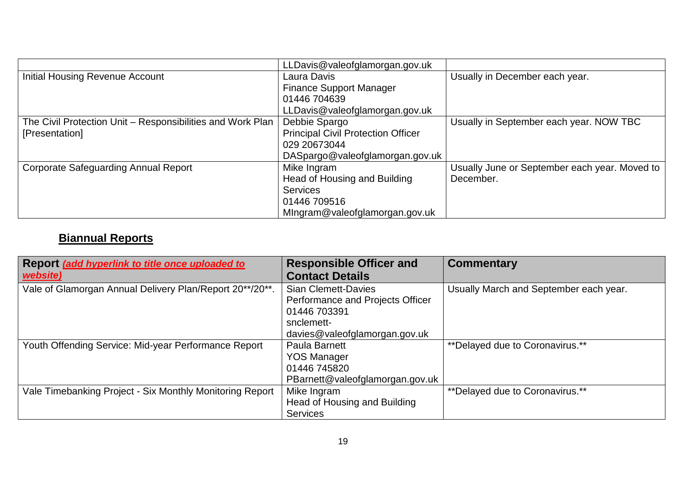|                                                            | LLDavis@valeofglamorgan.gov.uk            |                                               |
|------------------------------------------------------------|-------------------------------------------|-----------------------------------------------|
| <b>Initial Housing Revenue Account</b>                     | Laura Davis                               | Usually in December each year.                |
|                                                            | <b>Finance Support Manager</b>            |                                               |
|                                                            | 01446 704639                              |                                               |
|                                                            | LLDavis@valeofglamorgan.gov.uk            |                                               |
| The Civil Protection Unit - Responsibilities and Work Plan | Debbie Spargo                             | Usually in September each year. NOW TBC       |
| [Presentation]                                             | <b>Principal Civil Protection Officer</b> |                                               |
|                                                            | 029 20673044                              |                                               |
|                                                            | DASpargo@valeofglamorgan.gov.uk           |                                               |
| Corporate Safeguarding Annual Report                       | Mike Ingram                               | Usually June or September each year. Moved to |
|                                                            | Head of Housing and Building              | December.                                     |
|                                                            | <b>Services</b>                           |                                               |
|                                                            | 01446 709516                              |                                               |
|                                                            | Mingram@valeofglamorgan.gov.uk            |                                               |

# **Biannual Reports**

| Report (add hyperlink to title once uploaded to          | <b>Responsible Officer and</b>                                                                | <b>Commentary</b>                      |
|----------------------------------------------------------|-----------------------------------------------------------------------------------------------|----------------------------------------|
| website)                                                 | <b>Contact Details</b>                                                                        |                                        |
| Vale of Glamorgan Annual Delivery Plan/Report 20**/20**. | <b>Sian Clemett-Davies</b><br>Performance and Projects Officer<br>01446 703391<br>snclemett-  | Usually March and September each year. |
|                                                          | davies@valeofglamorgan.gov.uk                                                                 |                                        |
| Youth Offending Service: Mid-year Performance Report     | <b>Paula Barnett</b><br><b>YOS Manager</b><br>01446 745820<br>PBarnett@valeofglamorgan.gov.uk | ** Delayed due to Coronavirus.**       |
| Vale Timebanking Project - Six Monthly Monitoring Report | Mike Ingram<br>Head of Housing and Building<br><b>Services</b>                                | ** Delayed due to Coronavirus.**       |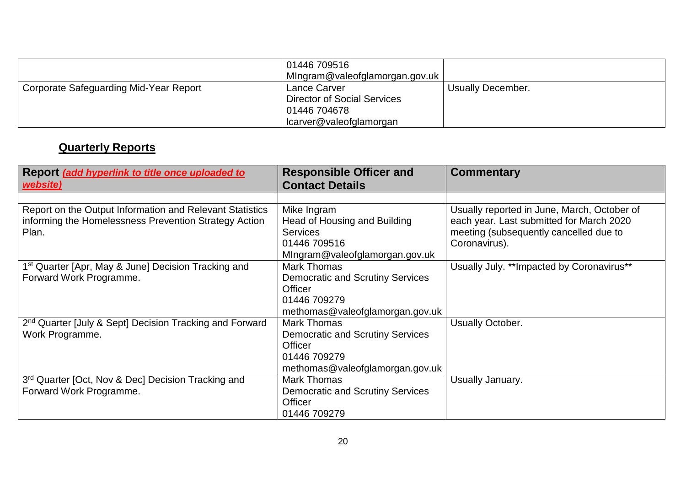|                                        | 01446 709516<br>Mingram@valeofglamorgan.gov.uk                                                |                   |
|----------------------------------------|-----------------------------------------------------------------------------------------------|-------------------|
| Corporate Safeguarding Mid-Year Report | Lance Carver<br><b>Director of Social Services</b><br>01446 704678<br>lcarver@valeofglamorgan | Usually December. |

# **Quarterly Reports**

| Report (add hyperlink to title once uploaded to<br>website)                                                                | <b>Responsible Officer and</b><br><b>Contact Details</b>                                                                    | <b>Commentary</b>                                                                                                                                  |
|----------------------------------------------------------------------------------------------------------------------------|-----------------------------------------------------------------------------------------------------------------------------|----------------------------------------------------------------------------------------------------------------------------------------------------|
|                                                                                                                            |                                                                                                                             |                                                                                                                                                    |
| Report on the Output Information and Relevant Statistics<br>informing the Homelessness Prevention Strategy Action<br>Plan. | Mike Ingram<br>Head of Housing and Building<br><b>Services</b><br>01446 709516<br>Mingram@valeofglamorgan.gov.uk            | Usually reported in June, March, October of<br>each year. Last submitted for March 2020<br>meeting (subsequently cancelled due to<br>Coronavirus). |
| 1 <sup>st</sup> Quarter [Apr, May & June] Decision Tracking and<br>Forward Work Programme.                                 | <b>Mark Thomas</b><br><b>Democratic and Scrutiny Services</b><br>Officer<br>01446 709279<br>methomas@valeofglamorgan.gov.uk | Usually July. **Impacted by Coronavirus**                                                                                                          |
| 2 <sup>nd</sup> Quarter [July & Sept] Decision Tracking and Forward<br>Work Programme.                                     | Mark Thomas<br><b>Democratic and Scrutiny Services</b><br>Officer<br>01446 709279<br>methomas@valeofglamorgan.gov.uk        | Usually October.                                                                                                                                   |
| 3rd Quarter [Oct, Nov & Dec] Decision Tracking and<br>Forward Work Programme.                                              | <b>Mark Thomas</b><br><b>Democratic and Scrutiny Services</b><br>Officer<br>01446 709279                                    | Usually January.                                                                                                                                   |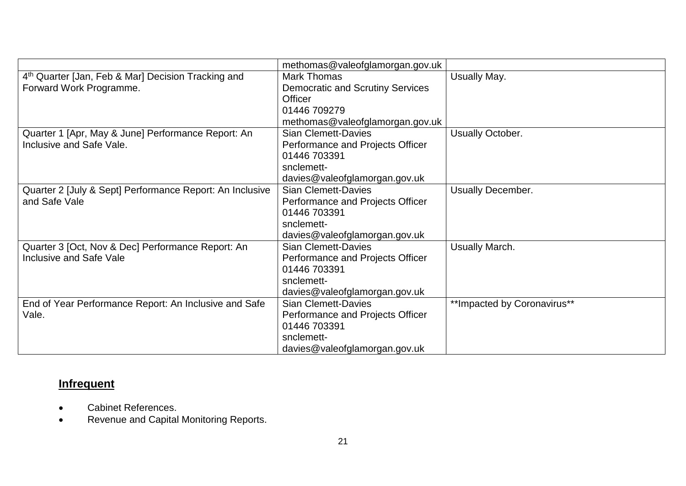|                                                          | methomas@valeofglamorgan.gov.uk         |                              |
|----------------------------------------------------------|-----------------------------------------|------------------------------|
| 4th Quarter [Jan, Feb & Mar] Decision Tracking and       | <b>Mark Thomas</b>                      | Usually May.                 |
| Forward Work Programme.                                  | <b>Democratic and Scrutiny Services</b> |                              |
|                                                          | <b>Officer</b>                          |                              |
|                                                          | 01446 709279                            |                              |
|                                                          | methomas@valeofglamorgan.gov.uk         |                              |
| Quarter 1 [Apr, May & June] Performance Report: An       | <b>Sian Clemett-Davies</b>              | Usually October.             |
| Inclusive and Safe Vale.                                 | Performance and Projects Officer        |                              |
|                                                          | 01446 703391                            |                              |
|                                                          | snclemett-                              |                              |
|                                                          | davies@valeofglamorgan.gov.uk           |                              |
| Quarter 2 [July & Sept] Performance Report: An Inclusive | <b>Sian Clemett-Davies</b>              | <b>Usually December.</b>     |
| and Safe Vale                                            | Performance and Projects Officer        |                              |
|                                                          | 01446 703391                            |                              |
|                                                          | snclemett-                              |                              |
|                                                          | davies@valeofglamorgan.gov.uk           |                              |
| Quarter 3 [Oct, Nov & Dec] Performance Report: An        | <b>Sian Clemett-Davies</b>              | Usually March.               |
| Inclusive and Safe Vale                                  | Performance and Projects Officer        |                              |
|                                                          | 01446 703391                            |                              |
|                                                          | snclemett-                              |                              |
|                                                          | davies@valeofglamorgan.gov.uk           |                              |
| End of Year Performance Report: An Inclusive and Safe    | <b>Sian Clemett-Davies</b>              | ** Impacted by Coronavirus** |
| Vale.                                                    | Performance and Projects Officer        |                              |
|                                                          | 01446 703391                            |                              |
|                                                          | snclemett-                              |                              |
|                                                          | davies@valeofglamorgan.gov.uk           |                              |

# **Infrequent**

- Cabinet References.
- Revenue and Capital Monitoring Reports.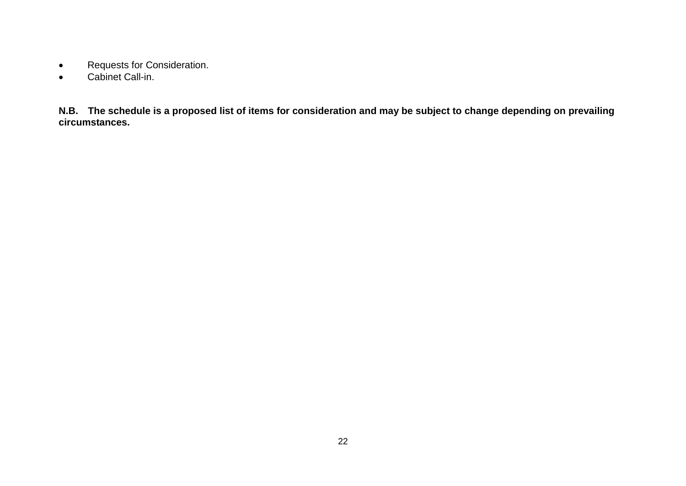- Requests for Consideration.
- Cabinet Call-in.

**N.B. The schedule is a proposed list of items for consideration and may be subject to change depending on prevailing circumstances.**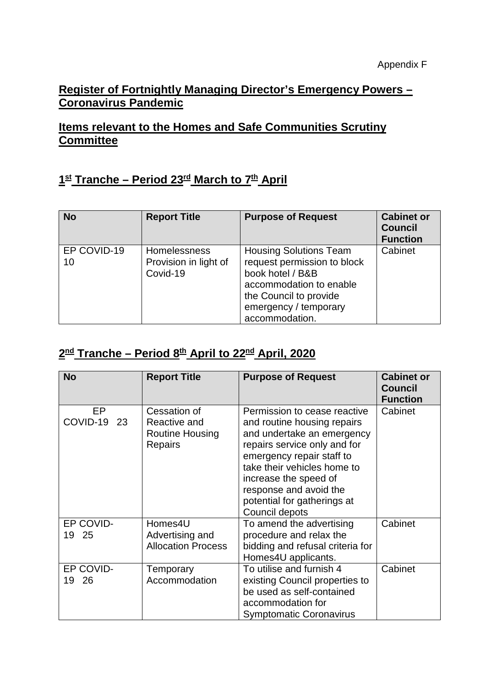### **Register of Fortnightly Managing Director's Emergency Powers – Coronavirus Pandemic**

### **Items relevant to the Homes and Safe Communities Scrutiny Committee**

## **1st Tranche – Period 23rd March to 7th April**

| <b>No</b>         | <b>Report Title</b>                                      | <b>Purpose of Request</b>                                                                                                                                                        | <b>Cabinet or</b><br><b>Council</b><br><b>Function</b> |
|-------------------|----------------------------------------------------------|----------------------------------------------------------------------------------------------------------------------------------------------------------------------------------|--------------------------------------------------------|
| EP COVID-19<br>10 | <b>Homelessness</b><br>Provision in light of<br>Covid-19 | <b>Housing Solutions Team</b><br>request permission to block<br>book hotel / B&B<br>accommodation to enable<br>the Council to provide<br>emergency / temporary<br>accommodation. | Cabinet                                                |

# **2nd Tranche – Period 8th April to 22nd April, 2020**

| <b>No</b>               | <b>Report Title</b>                                               | <b>Purpose of Request</b>                                                                                                                                                                                                                                                                 | <b>Cabinet or</b><br><b>Council</b><br><b>Function</b> |
|-------------------------|-------------------------------------------------------------------|-------------------------------------------------------------------------------------------------------------------------------------------------------------------------------------------------------------------------------------------------------------------------------------------|--------------------------------------------------------|
| EP<br>COVID-19 23       | Cessation of<br>Reactive and<br><b>Routine Housing</b><br>Repairs | Permission to cease reactive<br>and routine housing repairs<br>and undertake an emergency<br>repairs service only and for<br>emergency repair staff to<br>take their vehicles home to<br>increase the speed of<br>response and avoid the<br>potential for gatherings at<br>Council depots | Cabinet                                                |
| EP COVID-<br>19 25      | Homes4U<br>Advertising and<br><b>Allocation Process</b>           | To amend the advertising<br>procedure and relax the<br>bidding and refusal criteria for<br>Homes4U applicants.                                                                                                                                                                            | Cabinet                                                |
| EP COVID-<br>- 26<br>19 | Temporary<br>Accommodation                                        | To utilise and furnish 4<br>existing Council properties to<br>be used as self-contained<br>accommodation for<br><b>Symptomatic Coronavirus</b>                                                                                                                                            | Cabinet                                                |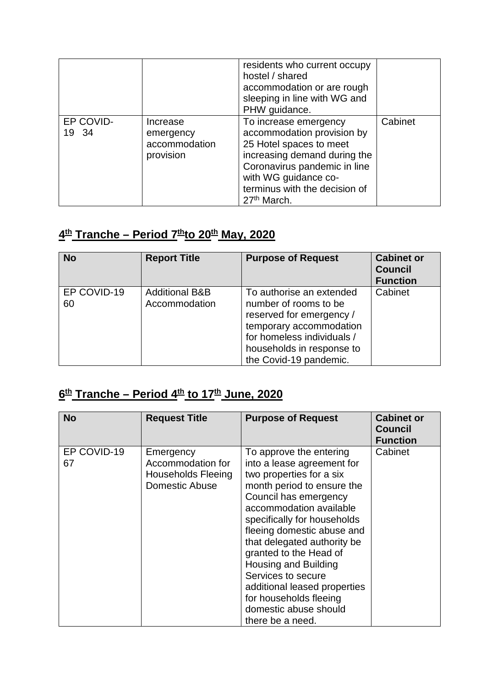|                    |                                                     | residents who current occupy<br>hostel / shared<br>accommodation or are rough<br>sleeping in line with WG and<br>PHW guidance.                                                                                                     |         |
|--------------------|-----------------------------------------------------|------------------------------------------------------------------------------------------------------------------------------------------------------------------------------------------------------------------------------------|---------|
| EP COVID-<br>19 34 | Increase<br>emergency<br>accommodation<br>provision | To increase emergency<br>accommodation provision by<br>25 Hotel spaces to meet<br>increasing demand during the<br>Coronavirus pandemic in line<br>with WG guidance co-<br>terminus with the decision of<br>27 <sup>th</sup> March. | Cabinet |

# $4<sup>th</sup>$  **Tranche – Period 7<sup>th</sup>to 20<sup>th</sup> May, 2020**

| <b>No</b>         | <b>Report Title</b>                        | <b>Purpose of Request</b>                                                                                                                                                                     | <b>Cabinet or</b><br><b>Council</b><br><b>Function</b> |
|-------------------|--------------------------------------------|-----------------------------------------------------------------------------------------------------------------------------------------------------------------------------------------------|--------------------------------------------------------|
| EP COVID-19<br>60 | <b>Additional B&amp;B</b><br>Accommodation | To authorise an extended<br>number of rooms to be<br>reserved for emergency /<br>temporary accommodation<br>for homeless individuals /<br>households in response to<br>the Covid-19 pandemic. | Cabinet                                                |

# **6th Tranche – Period 4th to 17th June, 2020**

| <b>No</b>         | <b>Request Title</b>                                                          | <b>Purpose of Request</b>                                                                                                                                                                                                                                                                                                                                                                                                                      | <b>Cabinet or</b><br><b>Council</b><br><b>Function</b> |
|-------------------|-------------------------------------------------------------------------------|------------------------------------------------------------------------------------------------------------------------------------------------------------------------------------------------------------------------------------------------------------------------------------------------------------------------------------------------------------------------------------------------------------------------------------------------|--------------------------------------------------------|
| EP COVID-19<br>67 | Emergency<br>Accommodation for<br><b>Households Fleeing</b><br>Domestic Abuse | To approve the entering<br>into a lease agreement for<br>two properties for a six<br>month period to ensure the<br>Council has emergency<br>accommodation available<br>specifically for households<br>fleeing domestic abuse and<br>that delegated authority be<br>granted to the Head of<br>Housing and Building<br>Services to secure<br>additional leased properties<br>for households fleeing<br>domestic abuse should<br>there be a need. | Cabinet                                                |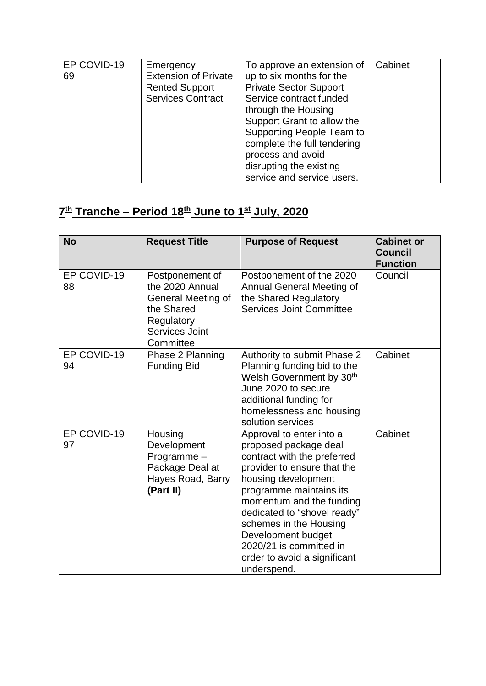| EP COVID-19 | Emergency                   | To approve an extension of       | Cabinet |
|-------------|-----------------------------|----------------------------------|---------|
| 69          | <b>Extension of Private</b> | up to six months for the         |         |
|             | <b>Rented Support</b>       | <b>Private Sector Support</b>    |         |
|             | <b>Services Contract</b>    | Service contract funded          |         |
|             |                             | through the Housing              |         |
|             |                             | Support Grant to allow the       |         |
|             |                             | <b>Supporting People Team to</b> |         |
|             |                             | complete the full tendering      |         |
|             |                             | process and avoid                |         |
|             |                             | disrupting the existing          |         |
|             |                             | service and service users.       |         |

# **7th Tranche – Period 18th June to 1st July, 2020**

| <b>No</b>         | <b>Request Title</b>                                                                                                | <b>Purpose of Request</b>                                                                                                                                                                                                                                                                                                                              | <b>Cabinet or</b><br><b>Council</b><br><b>Function</b> |
|-------------------|---------------------------------------------------------------------------------------------------------------------|--------------------------------------------------------------------------------------------------------------------------------------------------------------------------------------------------------------------------------------------------------------------------------------------------------------------------------------------------------|--------------------------------------------------------|
| EP COVID-19<br>88 | Postponement of<br>the 2020 Annual<br>General Meeting of<br>the Shared<br>Regulatory<br>Services Joint<br>Committee | Postponement of the 2020<br>Annual General Meeting of<br>the Shared Regulatory<br><b>Services Joint Committee</b>                                                                                                                                                                                                                                      | Council                                                |
| EP COVID-19<br>94 | Phase 2 Planning<br><b>Funding Bid</b>                                                                              | Authority to submit Phase 2<br>Planning funding bid to the<br>Welsh Government by 30th<br>June 2020 to secure<br>additional funding for<br>homelessness and housing<br>solution services                                                                                                                                                               | Cabinet                                                |
| EP COVID-19<br>97 | Housing<br>Development<br>Programme-<br>Package Deal at<br>Hayes Road, Barry<br>(Part II)                           | Approval to enter into a<br>proposed package deal<br>contract with the preferred<br>provider to ensure that the<br>housing development<br>programme maintains its<br>momentum and the funding<br>dedicated to "shovel ready"<br>schemes in the Housing<br>Development budget<br>2020/21 is committed in<br>order to avoid a significant<br>underspend. | Cabinet                                                |